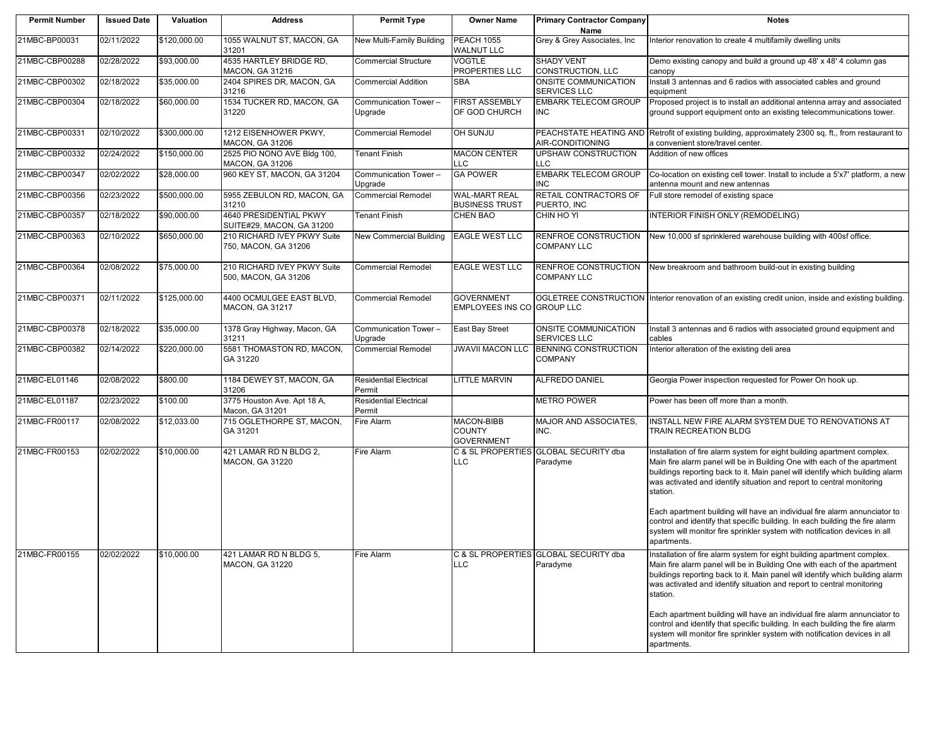| <b>Permit Number</b> | <b>Issued Date</b> | Valuation    | <b>Address</b>                                      | <b>Permit Type</b>                      | <b>Owner Name</b>                                | <b>Primary Contractor Company</b><br>Name          | <b>Notes</b>                                                                                                                                                                                                                                                                                                                                                                                           |
|----------------------|--------------------|--------------|-----------------------------------------------------|-----------------------------------------|--------------------------------------------------|----------------------------------------------------|--------------------------------------------------------------------------------------------------------------------------------------------------------------------------------------------------------------------------------------------------------------------------------------------------------------------------------------------------------------------------------------------------------|
| 21MBC-BP00031        | 02/11/2022         | \$120,000.00 | 1055 WALNUT ST, MACON, GA<br>31201                  | New Multi-Family Building               | <b>PEACH 1055</b><br><b>WALNUT LLC</b>           | Grey & Grey Associates, Inc.                       | Interior renovation to create 4 multifamily dwelling units                                                                                                                                                                                                                                                                                                                                             |
| 21MBC-CBP00288       | 02/28/2022         | \$93,000.00  | 4535 HARTLEY BRIDGE RD,<br>MACON, GA 31216          | <b>Commercial Structure</b>             | <b>VOGTLE</b><br>PROPERTIES LLC                  | <b>SHADY VENT</b><br>CONSTRUCTION, LLC             | Demo existing canopy and build a ground up 48' x 48' 4 column gas<br>canopy                                                                                                                                                                                                                                                                                                                            |
| 21MBC-CBP00302       | 02/18/2022         | \$35,000.00  | 2404 SPIRES DR, MACON, GA<br>31216                  | <b>Commercial Addition</b>              | <b>SBA</b>                                       | <b>ONSITE COMMUNICATION</b><br><b>SERVICES LLC</b> | Install 3 antennas and 6 radios with associated cables and ground<br>equipment                                                                                                                                                                                                                                                                                                                         |
| 21MBC-CBP00304       | 02/18/2022         | \$60,000.00  | 1534 TUCKER RD, MACON, GA<br>31220                  | Communication Tower-<br>Upgrade         | <b>FIRST ASSEMBLY</b><br>OF GOD CHURCH           | <b>EMBARK TELECOM GROUP</b><br><b>INC</b>          | Proposed project is to install an additional antenna array and associated<br>ground support equipment onto an existing telecommunications tower.                                                                                                                                                                                                                                                       |
| 21MBC-CBP00331       | 02/10/2022         | \$300,000.00 | 1212 EISENHOWER PKWY,<br>MACON, GA 31206            | <b>Commercial Remodel</b>               | OH SUNJU                                         | AIR-CONDITIONING                                   | PEACHSTATE HEATING AND Retrofit of existing building, approximately 2300 sq. ft., from restaurant to<br>a convenient store/travel center.                                                                                                                                                                                                                                                              |
| 21MBC-CBP00332       | 02/24/2022         | \$150,000.00 | 2525 PIO NONO AVE Bldg 100,<br>MACON, GA 31206      | <b>Tenant Finish</b>                    | <b>MACON CENTER</b><br>LLC.                      | UPSHAW CONSTRUCTION<br><b>LLC</b>                  | Addition of new offices                                                                                                                                                                                                                                                                                                                                                                                |
| 21MBC-CBP00347       | 02/02/2022         | \$28,000.00  | 960 KEY ST, MACON, GA 31204                         | Communication Tower-<br>Upgrade         | <b>GA POWER</b>                                  | <b>EMBARK TELECOM GROUP</b><br><b>INC</b>          | Co-location on existing cell tower. Install to include a 5'x7' platform, a new<br>antenna mount and new antennas                                                                                                                                                                                                                                                                                       |
| 21MBC-CBP00356       | 02/23/2022         | \$500,000.00 | 5955 ZEBULON RD, MACON, GA<br>31210                 | <b>Commercial Remodel</b>               | <b>WAL-MART REAL</b><br><b>BUSINESS TRUST</b>    | <b>RETAIL CONTRACTORS OF</b><br>PUERTO, INC        | Full store remodel of existing space                                                                                                                                                                                                                                                                                                                                                                   |
| 21MBC-CBP00357       | 02/18/2022         | \$90,000.00  | 4640 PRESIDENTIAL PKWY<br>SUITE#29, MACON, GA 31200 | Tenant Finish                           | <b>CHEN BAO</b>                                  | CHIN HO YI                                         | INTERIOR FINISH ONLY (REMODELING)                                                                                                                                                                                                                                                                                                                                                                      |
| 21MBC-CBP00363       | 02/10/2022         | \$650,000.00 | 210 RICHARD IVEY PKWY Suite<br>750, MACON, GA 31206 | New Commercial Building                 | <b>EAGLE WEST LLC</b>                            | <b>RENFROE CONSTRUCTION</b><br><b>COMPANY LLC</b>  | New 10,000 sf sprinklered warehouse building with 400sf office.                                                                                                                                                                                                                                                                                                                                        |
| 21MBC-CBP00364       | 02/08/2022         | \$75,000.00  | 210 RICHARD IVEY PKWY Suite<br>500, MACON, GA 31206 | <b>Commercial Remodel</b>               | <b>EAGLE WEST LLC</b>                            | RENFROE CONSTRUCTION<br><b>COMPANY LLC</b>         | New breakroom and bathroom build-out in existing building                                                                                                                                                                                                                                                                                                                                              |
| 21MBC-CBP00371       | 02/11/2022         | \$125,000.00 | 4400 OCMULGEE EAST BLVD,<br><b>MACON, GA 31217</b>  | <b>Commercial Remodel</b>               | <b>GOVERNMENT</b><br>EMPLOYEES INS CO GROUP LLC  |                                                    | OGLETREE CONSTRUCTION Interior renovation of an existing credit union, inside and existing building.                                                                                                                                                                                                                                                                                                   |
| 21MBC-CBP00378       | 02/18/2022         | \$35,000.00  | 1378 Gray Highway, Macon, GA<br>31211               | Communication Tower-<br>Upgrade         | East Bay Street                                  | <b>ONSITE COMMUNICATION</b><br><b>SERVICES LLC</b> | Install 3 antennas and 6 radios with associated ground equipment and<br>cables                                                                                                                                                                                                                                                                                                                         |
| 21MBC-CBP00382       | 02/14/2022         | \$220,000.00 | 5581 THOMASTON RD, MACON,<br>GA 31220               | <b>Commercial Remodel</b>               | <b>JWAVII MACON LLC</b>                          | <b>BENNING CONSTRUCTION</b><br><b>COMPANY</b>      | Interior alteration of the existing deli area                                                                                                                                                                                                                                                                                                                                                          |
| 21MBC-EL01146        | 02/08/2022         | \$800.00     | 1184 DEWEY ST, MACON, GA<br>31206                   | <b>Residential Electrical</b><br>Permit | <b>LITTLE MARVIN</b>                             | ALFREDO DANIEL                                     | Georgia Power inspection requested for Power On hook up.                                                                                                                                                                                                                                                                                                                                               |
| 21MBC-EL01187        | 02/23/2022         | \$100.00     | 3775 Houston Ave. Apt 18 A,<br>Macon, GA 31201      | <b>Residential Electrical</b><br>Permit |                                                  | <b>METRO POWER</b>                                 | Power has been off more than a month.                                                                                                                                                                                                                                                                                                                                                                  |
| 21MBC-FR00117        | 02/08/2022         | \$12,033.00  | 715 OGLETHORPE ST, MACON,<br>GA 31201               | Fire Alarm                              | MACON-BIBB<br><b>COUNTY</b><br><b>GOVERNMENT</b> | MAJOR AND ASSOCIATES,<br>INC.                      | INSTALL NEW FIRE ALARM SYSTEM DUE TO RENOVATIONS AT<br>TRAIN RECREATION BLDG                                                                                                                                                                                                                                                                                                                           |
| 21MBC-FR00153        | 02/02/2022         | \$10,000.00  | 421 LAMAR RD N BLDG 2,<br><b>MACON, GA 31220</b>    | Fire Alarm                              | LLC.                                             | C & SL PROPERTIES GLOBAL SECURITY dba<br>Paradyme  | Installation of fire alarm system for eight building apartment complex.<br>Main fire alarm panel will be in Building One with each of the apartment<br>buildings reporting back to it. Main panel will identify which building alarm<br>was activated and identify situation and report to central monitoring<br>station.<br>Each apartment building will have an individual fire alarm annunciator to |
|                      |                    |              |                                                     |                                         |                                                  |                                                    | control and identify that specific building. In each building the fire alarm<br>system will monitor fire sprinkler system with notification devices in all<br>apartments.                                                                                                                                                                                                                              |
| 21MBC-FR00155        | 02/02/2022         | \$10,000.00  | 421 LAMAR RD N BLDG 5,<br><b>MACON, GA 31220</b>    | Fire Alarm                              | LLC.                                             | C & SL PROPERTIES GLOBAL SECURITY dba<br>Paradyme  | Installation of fire alarm system for eight building apartment complex.<br>Main fire alarm panel will be in Building One with each of the apartment<br>buildings reporting back to it. Main panel will identify which building alarm<br>was activated and identify situation and report to central monitoring<br>station.                                                                              |
|                      |                    |              |                                                     |                                         |                                                  |                                                    | Each apartment building will have an individual fire alarm annunciator to<br>control and identify that specific building. In each building the fire alarm<br>system will monitor fire sprinkler system with notification devices in all<br>apartments.                                                                                                                                                 |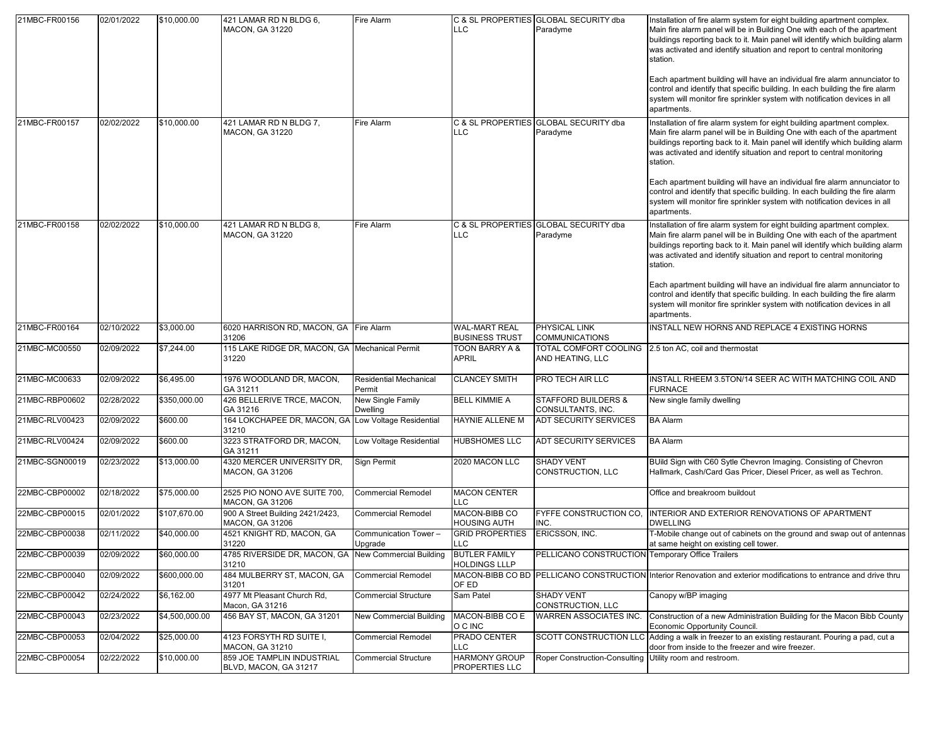| 21MBC-FR00156  | 02/01/2022 | \$10,000.00    | 421 LAMAR RD N BLDG 6,<br><b>MACON, GA 31220</b>              | Fire Alarm                              | LLC                                           | C & SL PROPERTIES GLOBAL SECURITY dba<br>Paradyme        | Installation of fire alarm system for eight building apartment complex.<br>Main fire alarm panel will be in Building One with each of the apartment<br>buildings reporting back to it. Main panel will identify which building alarm<br>was activated and identify situation and report to central monitoring<br>station. |
|----------------|------------|----------------|---------------------------------------------------------------|-----------------------------------------|-----------------------------------------------|----------------------------------------------------------|---------------------------------------------------------------------------------------------------------------------------------------------------------------------------------------------------------------------------------------------------------------------------------------------------------------------------|
|                |            |                |                                                               |                                         |                                               |                                                          | Each apartment building will have an individual fire alarm annunciator to<br>control and identify that specific building. In each building the fire alarm<br>system will monitor fire sprinkler system with notification devices in all<br>apartments.                                                                    |
| 21MBC-FR00157  | 02/02/2022 | \$10,000.00    | 421 LAMAR RD N BLDG 7,<br>MACON, GA 31220                     | Fire Alarm                              | LLC                                           | C & SL PROPERTIES GLOBAL SECURITY dba<br>Paradyme        | Installation of fire alarm system for eight building apartment complex.<br>Main fire alarm panel will be in Building One with each of the apartment<br>buildings reporting back to it. Main panel will identify which building alarm<br>was activated and identify situation and report to central monitoring<br>station. |
|                |            |                |                                                               |                                         |                                               |                                                          | Each apartment building will have an individual fire alarm annunciator to<br>control and identify that specific building. In each building the fire alarm<br>system will monitor fire sprinkler system with notification devices in all<br>apartments.                                                                    |
| 21MBC-FR00158  | 02/02/2022 | \$10,000.00    | 421 LAMAR RD N BLDG 8,<br><b>MACON, GA 31220</b>              | Fire Alarm                              | LLC                                           | C & SL PROPERTIES GLOBAL SECURITY dba<br>Paradyme        | Installation of fire alarm system for eight building apartment complex.<br>Main fire alarm panel will be in Building One with each of the apartment<br>buildings reporting back to it. Main panel will identify which building alarm<br>was activated and identify situation and report to central monitoring<br>station. |
|                |            |                |                                                               |                                         |                                               |                                                          | Each apartment building will have an individual fire alarm annunciator to<br>control and identify that specific building. In each building the fire alarm<br>system will monitor fire sprinkler system with notification devices in all<br>apartments.                                                                    |
| 21MBC-FR00164  | 02/10/2022 | \$3,000.00     | 6020 HARRISON RD, MACON, GA Fire Alarm<br>31206               |                                         | <b>WAL-MART REAL</b><br><b>BUSINESS TRUST</b> | PHYSICAL LINK<br><b>COMMUNICATIONS</b>                   | INSTALL NEW HORNS AND REPLACE 4 EXISTING HORNS                                                                                                                                                                                                                                                                            |
| 21MBC-MC00550  | 02/09/2022 | \$7,244.00     | 115 LAKE RIDGE DR, MACON, GA   Mechanical Permit<br>31220     |                                         | TOON BARRY A &<br>APRIL                       | <b>TOTAL COMFORT COOLING</b><br>AND HEATING, LLC         | 2.5 ton AC, coil and thermostat                                                                                                                                                                                                                                                                                           |
| 21MBC-MC00633  | 02/09/2022 | \$6,495.00     | 1976 WOODLAND DR, MACON,<br>GA 31211                          | <b>Residential Mechanical</b><br>Permit | <b>CLANCEY SMITH</b>                          | PRO TECH AIR LLC                                         | INSTALL RHEEM 3.5TON/14 SEER AC WITH MATCHING COIL AND<br><b>FURNACE</b>                                                                                                                                                                                                                                                  |
| 21MBC-RBP00602 | 02/28/2022 | \$350,000.00   | 426 BELLERIVE TRCE, MACON,<br>GA 31216                        | New Single Family<br><b>Dwelling</b>    | <b>BELL KIMMIE A</b>                          | <b>STAFFORD BUILDERS &amp;</b><br>CONSULTANTS, INC.      | New single family dwelling                                                                                                                                                                                                                                                                                                |
| 21MBC-RLV00423 | 02/09/2022 | \$600.00       | 164 LOKCHAPEE DR, MACON, GA Low Voltage Residential<br>31210  |                                         | HAYNIE ALLENE M                               | <b>ADT SECURITY SERVICES</b>                             | <b>BA Alarm</b>                                                                                                                                                                                                                                                                                                           |
| 21MBC-RLV00424 | 02/09/2022 | \$600.00       | 3223 STRATFORD DR, MACON,<br>GA 31211                         | Low Voltage Residential                 | <b>HUBSHOMES LLC</b>                          | <b>ADT SECURITY SERVICES</b>                             | <b>BA Alarm</b>                                                                                                                                                                                                                                                                                                           |
| 21MBC-SGN00019 | 02/23/2022 | \$13,000.00    | 4320 MERCER UNIVERSITY DR,<br><b>MACON, GA 31206</b>          | Sign Permit                             | 2020 MACON LLC                                | <b>SHADY VENT</b><br>CONSTRUCTION, LLC                   | BUild Sign with C60 Sytle Chevron Imaging. Consisting of Chevron<br>Hallmark, Cash/Card Gas Pricer, Diesel Pricer, as well as Techron.                                                                                                                                                                                    |
| 22MBC-CBP00002 | 02/18/2022 | \$75,000.00    | 2525 PIO NONO AVE SUITE 700,<br><b>MACON, GA 31206</b>        | <b>Commercial Remodel</b>               | <b>MACON CENTER</b><br>LLC.                   |                                                          | Office and breakroom buildout                                                                                                                                                                                                                                                                                             |
| 22MBC-CBP00015 | 02/01/2022 | \$107,670.00   | 900 A Street Building 2421/2423,<br><b>MACON, GA 31206</b>    | Commercial Remodel                      | MACON-BIBB CO<br>HOUSING AUTH                 | FYFFE CONSTRUCTION CO.<br>INC.                           | INTERIOR AND EXTERIOR RENOVATIONS OF APARTMENT<br><b>DWELLING</b>                                                                                                                                                                                                                                                         |
| 22MBC-CBP00038 | 02/11/2022 | \$40,000.00    | 4521 KNIGHT RD, MACON, GA<br>31220                            | Communication Tower-<br>Upgrade         | <b>GRID PROPERTIES</b><br>LLC                 | ERICSSON, INC.                                           | T-Mobile change out of cabinets on the ground and swap out of antennas<br>at same height on existing cell tower.                                                                                                                                                                                                          |
| 22MBC-CBP00039 | 02/09/2022 | \$60,000.00    | 4785 RIVERSIDE DR, MACON, GA New Commercial Building<br>31210 |                                         | <b>BUTLER FAMILY</b><br><b>HOLDINGS LLLP</b>  | PELLICANO CONSTRUCTION Temporary Office Trailers         |                                                                                                                                                                                                                                                                                                                           |
| 22MBC-CBP00040 | 02/09/2022 | \$600,000.00   | 484 MULBERRY ST, MACON, GA<br>31201                           | <b>Commercial Remodel</b>               | OF ED                                         |                                                          | MACON-BIBB CO BD PELLICANO CONSTRUCTION Interior Renovation and exterior modifications to entrance and drive thru                                                                                                                                                                                                         |
| 22MBC-CBP00042 | 02/24/2022 | \$6,162.00     | 4977 Mt Pleasant Church Rd,<br>Macon, GA 31216                | <b>Commercial Structure</b>             | Sam Patel                                     | <b>SHADY VENT</b><br>CONSTRUCTION, LLC                   | Canopy w/BP imaging                                                                                                                                                                                                                                                                                                       |
| 22MBC-CBP00043 | 02/23/2022 | \$4,500,000.00 | 456 BAY ST, MACON, GA 31201                                   | New Commercial Building                 | MACON-BIBB CO E<br>O C INC                    | WARREN ASSOCIATES INC.                                   | Construction of a new Administration Building for the Macon Bibb County<br>Economic Opportunity Council.                                                                                                                                                                                                                  |
| 22MBC-CBP00053 | 02/04/2022 | \$25,000.00    | 4123 FORSYTH RD SUITE I.<br><b>MACON, GA 31210</b>            | <b>Commercial Remodel</b>               | PRADO CENTER<br>LLC.                          | SCOTT CONSTRUCTION LLO                                   | Adding a walk in freezer to an existing restaurant. Pouring a pad, cut a<br>door from inside to the freezer and wire freezer.                                                                                                                                                                                             |
| 22MBC-CBP00054 | 02/22/2022 | \$10,000.00    | 859 JOE TAMPLIN INDUSTRIAL<br>BLVD, MACON, GA 31217           | <b>Commercial Structure</b>             | <b>HARMONY GROUP</b><br>PROPERTIES LLC        | Roper Construction-Consulting Utility room and restroom. |                                                                                                                                                                                                                                                                                                                           |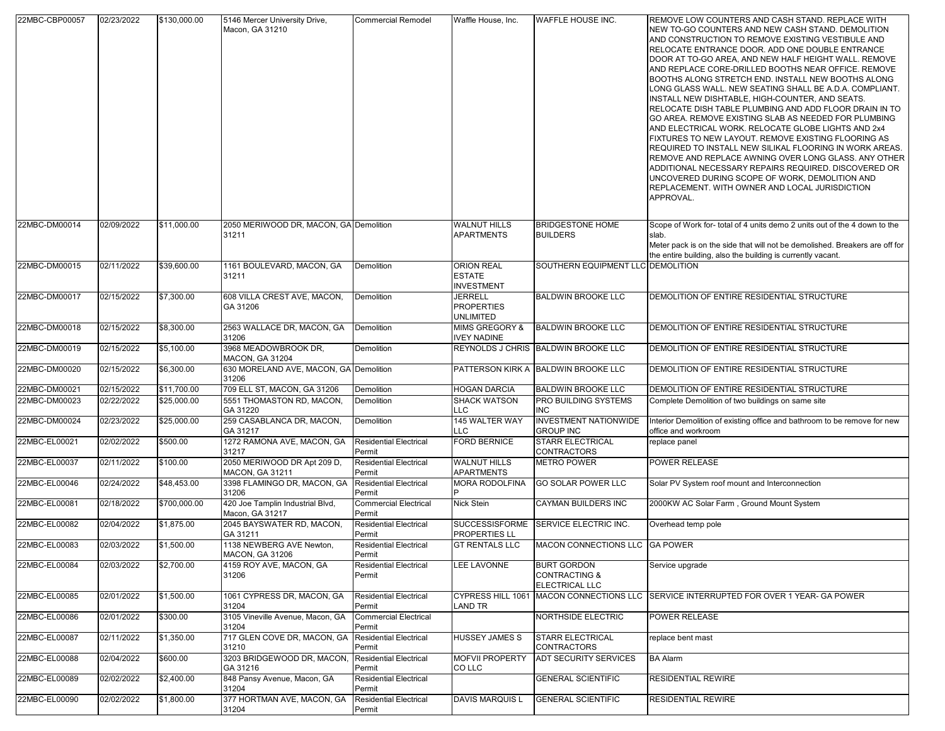| 22MBC-CBP00057 | 02/23/2022 | \$130,000.00 | 5146 Mercer University Drive,<br>Macon, GA 31210    | <b>Commercial Remodel</b>               | Waffle House, Inc.                                      | <b>WAFFLE HOUSE INC.</b>                                                | REMOVE LOW COUNTERS AND CASH STAND. REPLACE WITH<br>NEW TO-GO COUNTERS AND NEW CASH STAND. DEMOLITION<br>AND CONSTRUCTION TO REMOVE EXISTING VESTIBULE AND<br>RELOCATE ENTRANCE DOOR. ADD ONE DOUBLE ENTRANCE<br>DOOR AT TO-GO AREA, AND NEW HALF HEIGHT WALL. REMOVE<br>AND REPLACE CORE-DRILLED BOOTHS NEAR OFFICE. REMOVE<br>BOOTHS ALONG STRETCH END. INSTALL NEW BOOTHS ALONG<br>LONG GLASS WALL. NEW SEATING SHALL BE A.D.A. COMPLIANT.<br>INSTALL NEW DISHTABLE, HIGH-COUNTER, AND SEATS.<br>RELOCATE DISH TABLE PLUMBING AND ADD FLOOR DRAIN IN TO<br>GO AREA. REMOVE EXISTING SLAB AS NEEDED FOR PLUMBING<br>AND ELECTRICAL WORK. RELOCATE GLOBE LIGHTS AND 2x4<br>FIXTURES TO NEW LAYOUT. REMOVE EXISTING FLOORING AS<br>REQUIRED TO INSTALL NEW SILIKAL FLOORING IN WORK AREAS.<br>REMOVE AND REPLACE AWNING OVER LONG GLASS. ANY OTHER<br>ADDITIONAL NECESSARY REPAIRS REQUIRED. DISCOVERED OR<br>UNCOVERED DURING SCOPE OF WORK, DEMOLITION AND<br>REPLACEMENT. WITH OWNER AND LOCAL JURISDICTION<br>APPROVAL. |
|----------------|------------|--------------|-----------------------------------------------------|-----------------------------------------|---------------------------------------------------------|-------------------------------------------------------------------------|-----------------------------------------------------------------------------------------------------------------------------------------------------------------------------------------------------------------------------------------------------------------------------------------------------------------------------------------------------------------------------------------------------------------------------------------------------------------------------------------------------------------------------------------------------------------------------------------------------------------------------------------------------------------------------------------------------------------------------------------------------------------------------------------------------------------------------------------------------------------------------------------------------------------------------------------------------------------------------------------------------------------------------|
| 22MBC-DM00014  | 02/09/2022 | \$11,000.00  | 2050 MERIWOOD DR, MACON, GA Demolition<br>31211     |                                         | <b>WALNUT HILLS</b><br><b>APARTMENTS</b>                | <b>BRIDGESTONE HOME</b><br><b>BUILDERS</b>                              | Scope of Work for- total of 4 units demo 2 units out of the 4 down to the<br>slab.<br>Meter pack is on the side that will not be demolished. Breakers are off for<br>the entire building, also the building is currently vacant.                                                                                                                                                                                                                                                                                                                                                                                                                                                                                                                                                                                                                                                                                                                                                                                            |
| 22MBC-DM00015  | 02/11/2022 | \$39,600.00  | 1161 BOULEVARD, MACON, GA<br>31211                  | Demolition                              | ORION REAL<br><b>ESTATE</b><br><b>INVESTMENT</b>        | SOUTHERN EQUIPMENT LLC DEMOLITION                                       |                                                                                                                                                                                                                                                                                                                                                                                                                                                                                                                                                                                                                                                                                                                                                                                                                                                                                                                                                                                                                             |
| 22MBC-DM00017  | 02/15/2022 | \$7,300.00   | 608 VILLA CREST AVE, MACON,<br>GA 31206             | Demolition                              | <b>JERRELL</b><br><b>PROPERTIES</b><br><b>UNLIMITED</b> | <b>BALDWIN BROOKE LLC</b>                                               | <b>DEMOLITION OF ENTIRE RESIDENTIAL STRUCTURE</b>                                                                                                                                                                                                                                                                                                                                                                                                                                                                                                                                                                                                                                                                                                                                                                                                                                                                                                                                                                           |
| 22MBC-DM00018  | 02/15/2022 | \$8,300.00   | 2563 WALLACE DR, MACON, GA<br>31206                 | Demolition                              | MIMS GREGORY &<br><b>IVEY NADINE</b>                    | <b>BALDWIN BROOKE LLC</b>                                               | DEMOLITION OF ENTIRE RESIDENTIAL STRUCTURE                                                                                                                                                                                                                                                                                                                                                                                                                                                                                                                                                                                                                                                                                                                                                                                                                                                                                                                                                                                  |
| 22MBC-DM00019  | 02/15/2022 | \$5,100.00   | 3968 MEADOWBROOK DR.<br><b>MACON, GA 31204</b>      | Demolition                              |                                                         | REYNOLDS J CHRIS BALDWIN BROOKE LLC                                     | DEMOLITION OF ENTIRE RESIDENTIAL STRUCTURE                                                                                                                                                                                                                                                                                                                                                                                                                                                                                                                                                                                                                                                                                                                                                                                                                                                                                                                                                                                  |
| 22MBC-DM00020  | 02/15/2022 | \$6,300.00   | 630 MORELAND AVE, MACON, GA Demolition<br>31206     |                                         |                                                         | PATTERSON KIRK A BALDWIN BROOKE LLC                                     | DEMOLITION OF ENTIRE RESIDENTIAL STRUCTURE                                                                                                                                                                                                                                                                                                                                                                                                                                                                                                                                                                                                                                                                                                                                                                                                                                                                                                                                                                                  |
| 22MBC-DM00021  | 02/15/2022 | \$11,700.00  | 709 ELL ST, MACON, GA 31206                         | Demolition                              | <b>HOGAN DARCIA</b>                                     | <b>BALDWIN BROOKE LLC</b>                                               | DEMOLITION OF ENTIRE RESIDENTIAL STRUCTURE                                                                                                                                                                                                                                                                                                                                                                                                                                                                                                                                                                                                                                                                                                                                                                                                                                                                                                                                                                                  |
| 22MBC-DM00023  | 02/22/2022 | \$25,000.00  | 5551 THOMASTON RD, MACON,<br>GA 31220               | Demolition                              | <b>SHACK WATSON</b><br>LLC.                             | <b>PRO BUILDING SYSTEMS</b><br><b>INC</b>                               | Complete Demolition of two buildings on same site                                                                                                                                                                                                                                                                                                                                                                                                                                                                                                                                                                                                                                                                                                                                                                                                                                                                                                                                                                           |
| 22MBC-DM00024  | 02/23/2022 | \$25,000.00  | 259 CASABLANCA DR, MACON,<br>GA 31217               | Demolition                              | 145 WALTER WAY<br>LLC                                   | <b>INVESTMENT NATIONWIDE</b><br><b>GROUP INC</b>                        | Interior Demolition of existing office and bathroom to be remove for new<br>office and workroom                                                                                                                                                                                                                                                                                                                                                                                                                                                                                                                                                                                                                                                                                                                                                                                                                                                                                                                             |
| 22MBC-EL00021  | 02/02/2022 | \$500.00     | 1272 RAMONA AVE, MACON, GA<br>31217                 | <b>Residential Electrical</b><br>Permit | <b>FORD BERNICE</b>                                     | <b>STARR ELECTRICAL</b><br><b>CONTRACTORS</b>                           | replace panel                                                                                                                                                                                                                                                                                                                                                                                                                                                                                                                                                                                                                                                                                                                                                                                                                                                                                                                                                                                                               |
| 22MBC-EL00037  | 02/11/2022 | \$100.00     | 2050 MERIWOOD DR Apt 209 D,<br>MACON, GA 31211      | <b>Residential Electrical</b><br>Permit | <b>WALNUT HILLS</b><br><b>APARTMENTS</b>                | <b>METRO POWER</b>                                                      | <b>POWER RELEASE</b>                                                                                                                                                                                                                                                                                                                                                                                                                                                                                                                                                                                                                                                                                                                                                                                                                                                                                                                                                                                                        |
| 22MBC-EL00046  | 02/24/2022 | \$48,453.00  | 3398 FLAMINGO DR, MACON, GA<br>31206                | <b>Residential Electrical</b><br>Permit | <b>MORA RODOLFINA</b>                                   | <b>GO SOLAR POWER LLC</b>                                               | Solar PV System roof mount and Interconnection                                                                                                                                                                                                                                                                                                                                                                                                                                                                                                                                                                                                                                                                                                                                                                                                                                                                                                                                                                              |
| 22MBC-EL00081  | 02/18/2022 | \$700,000.00 | 420 Joe Tamplin Industrial Blvd,<br>Macon, GA 31217 | <b>Commercial Electrical</b><br>Permit  | Nick Stein                                              | CAYMAN BUILDERS INC                                                     | 2000KW AC Solar Farm, Ground Mount System                                                                                                                                                                                                                                                                                                                                                                                                                                                                                                                                                                                                                                                                                                                                                                                                                                                                                                                                                                                   |
| 22MBC-EL00082  | 02/04/2022 | \$1,875.00   | 2045 BAYSWATER RD, MACON,<br>GA 31211               | <b>Residential Electrical</b><br>Permit | <b>SUCCESSISFORME</b><br>PROPERTIES LL                  | <b>SERVICE ELECTRIC INC.</b>                                            | Overhead temp pole                                                                                                                                                                                                                                                                                                                                                                                                                                                                                                                                                                                                                                                                                                                                                                                                                                                                                                                                                                                                          |
| 22MBC-EL00083  | 02/03/2022 | \$1,500.00   | 1138 NEWBERG AVE Newton,<br><b>MACON, GA 31206</b>  | <b>Residential Electrical</b><br>Permit | <b>GT RENTALS LLC</b>                                   | MACON CONNECTIONS LLC GA POWER                                          |                                                                                                                                                                                                                                                                                                                                                                                                                                                                                                                                                                                                                                                                                                                                                                                                                                                                                                                                                                                                                             |
| 22MBC-EL00084  | 02/03/2022 | \$2,700.00   | 4159 ROY AVE, MACON, GA<br>31206                    | <b>Residential Electrical</b><br>Permit | <b>LEE LAVONNE</b>                                      | <b>BURT GORDON</b><br><b>CONTRACTING &amp;</b><br><b>ELECTRICAL LLC</b> | Service upgrade                                                                                                                                                                                                                                                                                                                                                                                                                                                                                                                                                                                                                                                                                                                                                                                                                                                                                                                                                                                                             |
| 22MBC-EL00085  | 02/01/2022 | \$1,500.00   | 1061 CYPRESS DR, MACON, GA<br>31204                 | <b>Residential Electrical</b><br>Permit | LAND TR                                                 |                                                                         | CYPRESS HILL 1061 MACON CONNECTIONS LLC SERVICE INTERRUPTED FOR OVER 1 YEAR-GA POWER                                                                                                                                                                                                                                                                                                                                                                                                                                                                                                                                                                                                                                                                                                                                                                                                                                                                                                                                        |
| 22MBC-EL00086  | 02/01/2022 | \$300.00     | 3105 Vineville Avenue, Macon, GA<br>31204           | Commercial Electrical<br>Permit         |                                                         | NORTHSIDE ELECTRIC                                                      | POWER RELEASE                                                                                                                                                                                                                                                                                                                                                                                                                                                                                                                                                                                                                                                                                                                                                                                                                                                                                                                                                                                                               |
| 22MBC-EL00087  | 02/11/2022 | \$1,350.00   | 717 GLEN COVE DR, MACON, GA<br>31210                | <b>Residential Electrical</b><br>Permit | <b>HUSSEY JAMES S</b>                                   | <b>STARR ELECTRICAL</b><br><b>CONTRACTORS</b>                           | replace bent mast                                                                                                                                                                                                                                                                                                                                                                                                                                                                                                                                                                                                                                                                                                                                                                                                                                                                                                                                                                                                           |
| 22MBC-EL00088  | 02/04/2022 | \$600.00     | 3203 BRIDGEWOOD DR, MACON,<br>GA 31216              | <b>Residential Electrical</b><br>Permit | <b>MOFVII PROPERTY</b><br>CO LLC                        | ADT SECURITY SERVICES                                                   | <b>BA Alarm</b>                                                                                                                                                                                                                                                                                                                                                                                                                                                                                                                                                                                                                                                                                                                                                                                                                                                                                                                                                                                                             |
| 22MBC-EL00089  | 02/02/2022 | \$2,400.00   | 848 Pansy Avenue, Macon, GA<br>31204                | <b>Residential Electrical</b><br>Permit |                                                         | <b>GENERAL SCIENTIFIC</b>                                               | <b>RESIDENTIAL REWIRE</b>                                                                                                                                                                                                                                                                                                                                                                                                                                                                                                                                                                                                                                                                                                                                                                                                                                                                                                                                                                                                   |
| 22MBC-EL00090  | 02/02/2022 | \$1,800.00   | 377 HORTMAN AVE, MACON, GA<br>31204                 | <b>Residential Electrical</b><br>Permit | <b>DAVIS MARQUIS L</b>                                  | <b>GENERAL SCIENTIFIC</b>                                               | <b>RESIDENTIAL REWIRE</b>                                                                                                                                                                                                                                                                                                                                                                                                                                                                                                                                                                                                                                                                                                                                                                                                                                                                                                                                                                                                   |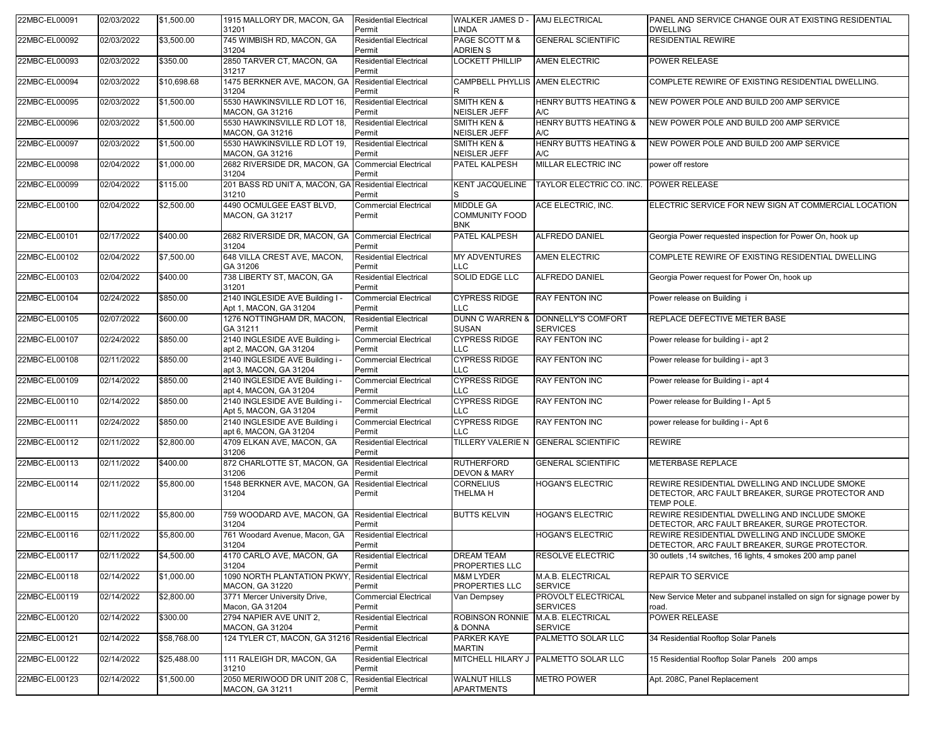| 22MBC-EL00091 | 02/03/2022 | \$1,500.00  | 1915 MALLORY DR, MACON, GA<br>31201                           | <b>Residential Electrical</b><br>Permit | WALKER JAMES D - AMJ ELECTRICAL<br>LINDA                |                                         | PANEL AND SERVICE CHANGE OUR AT EXISTING RESIDENTIAL<br><b>DWELLING</b>                                                |
|---------------|------------|-------------|---------------------------------------------------------------|-----------------------------------------|---------------------------------------------------------|-----------------------------------------|------------------------------------------------------------------------------------------------------------------------|
| 22MBC-EL00092 | 02/03/2022 | \$3,500.00  | 745 WIMBISH RD, MACON, GA<br>31204                            | <b>Residential Electrical</b><br>Permit | PAGE SCOTT M &<br><b>ADRIEN S</b>                       | <b>GENERAL SCIENTIFIC</b>               | <b>RESIDENTIAL REWIRE</b>                                                                                              |
| 22MBC-EL00093 | 02/03/2022 | \$350.00    | 2850 TARVER CT, MACON, GA<br>31217                            | <b>Residential Electrical</b><br>Permit | LOCKETT PHILLIP                                         | <b>AMEN ELECTRIC</b>                    | POWER RELEASE                                                                                                          |
| 22MBC-EL00094 | 02/03/2022 | \$10,698.68 | 1475 BERKNER AVE, MACON, GA<br>31204                          | <b>Residential Electrical</b><br>Permit | CAMPBELL PHYLLIS AMEN ELECTRIC<br>R                     |                                         | COMPLETE REWIRE OF EXISTING RESIDENTIAL DWELLING.                                                                      |
| 22MBC-EL00095 | 02/03/2022 | \$1,500.00  | 5530 HAWKINSVILLE RD LOT 16,<br><b>MACON, GA 31216</b>        | <b>Residential Electrical</b><br>Permit | <b>SMITH KEN &amp;</b><br><b>NEISLER JEFF</b>           | <b>HENRY BUTTS HEATING &amp;</b><br>A/C | NEW POWER POLE AND BUILD 200 AMP SERVICE                                                                               |
| 22MBC-EL00096 | 02/03/2022 | \$1,500.00  | 5530 HAWKINSVILLE RD LOT 18,<br><b>MACON, GA 31216</b>        | <b>Residential Electrical</b><br>Permit | <b>SMITH KEN &amp;</b><br>NEISLER JEFF                  | <b>HENRY BUTTS HEATING &amp;</b><br>A/C | NEW POWER POLE AND BUILD 200 AMP SERVICE                                                                               |
| 22MBC-EL00097 | 02/03/2022 | \$1,500.00  | 5530 HAWKINSVILLE RD LOT 19,<br><b>MACON, GA 31216</b>        | <b>Residential Electrical</b><br>Permit | <b>SMITH KEN &amp;</b><br>NEISLER JEFF                  | <b>HENRY BUTTS HEATING &amp;</b><br>A/C | NEW POWER POLE AND BUILD 200 AMP SERVICE                                                                               |
| 22MBC-EL00098 | 02/04/2022 | \$1,000.00  | 2682 RIVERSIDE DR, MACON, GA<br>31204                         | <b>Commercial Electrical</b><br>Permit  | PATEL KALPESH                                           | MILLAR ELECTRIC INC                     | power off restore                                                                                                      |
| 22MBC-EL00099 | 02/04/2022 | \$115.00    | 201 BASS RD UNIT A, MACON, GA Residential Electrical<br>31210 | Permit                                  | <b>KENT JACQUELINE</b>                                  | TAYLOR ELECTRIC CO. INC.                | <b>POWER RELEASE</b>                                                                                                   |
| 22MBC-EL00100 | 02/04/2022 | \$2,500.00  | 4490 OCMULGEE EAST BLVD,<br><b>MACON, GA 31217</b>            | <b>Commercial Electrical</b><br>Permit  | <b>MIDDLE GA</b><br><b>COMMUNITY FOOD</b><br><b>BNK</b> | ACE ELECTRIC, INC.                      | ELECTRIC SERVICE FOR NEW SIGN AT COMMERCIAL LOCATION                                                                   |
| 22MBC-EL00101 | 02/17/2022 | \$400.00    | 2682 RIVERSIDE DR, MACON, GA<br>31204                         | <b>Commercial Electrical</b><br>Permit  | PATEL KALPESH                                           | <b>ALFREDO DANIEL</b>                   | Georgia Power requested inspection for Power On, hook up                                                               |
| 22MBC-EL00102 | 02/04/2022 | \$7,500.00  | 648 VILLA CREST AVE, MACON,<br>GA 31206                       | <b>Residential Electrical</b><br>Permit | <b>MY ADVENTURES</b><br>LLC.                            | <b>AMEN ELECTRIC</b>                    | COMPLETE REWIRE OF EXISTING RESIDENTIAL DWELLING                                                                       |
| 22MBC-EL00103 | 02/04/2022 | \$400.00    | 738 LIBERTY ST, MACON, GA<br>31201                            | <b>Residential Electrical</b><br>Permit | SOLID EDGE LLC                                          | <b>ALFREDO DANIEL</b>                   | Georgia Power request for Power On, hook up                                                                            |
| 22MBC-EL00104 | 02/24/2022 | \$850.00    | 2140 INGLESIDE AVE Building I -<br>Apt 1, MACON, GA 31204     | <b>Commercial Electrical</b><br>Permit  | <b>CYPRESS RIDGE</b><br>LLC.                            | RAY FENTON INC                          | Power release on Building i                                                                                            |
| 22MBC-EL00105 | 02/07/2022 | \$600.00    | 1276 NOTTINGHAM DR, MACON,<br>GA 31211                        | <b>Residential Electrical</b><br>Permit | <b>DUNN C WARREN &amp;</b><br><b>SUSAN</b>              | DONNELLY'S COMFORT<br><b>SERVICES</b>   | REPLACE DEFECTIVE METER BASE                                                                                           |
| 22MBC-EL00107 | 02/24/2022 | \$850.00    | 2140 INGLESIDE AVE Building i-<br>apt 2, MACON, GA 31204      | <b>Commercial Electrical</b><br>Permit  | <b>CYPRESS RIDGE</b><br>LLC                             | <b>RAY FENTON INC</b>                   | Power release for building i - apt 2                                                                                   |
| 22MBC-EL00108 | 02/11/2022 | \$850.00    | 2140 INGLESIDE AVE Building i -<br>apt 3, MACON, GA 31204     | <b>Commercial Electrical</b><br>Permit  | <b>CYPRESS RIDGE</b><br>LLC                             | RAY FENTON INC                          | Power release for building i - apt 3                                                                                   |
| 22MBC-EL00109 | 02/14/2022 | \$850.00    | 2140 INGLESIDE AVE Building i -<br>apt 4, MACON, GA 31204     | <b>Commercial Electrical</b><br>Permit  | <b>CYPRESS RIDGE</b><br>LLC.                            | <b>RAY FENTON INC</b>                   | Power release for Building i - apt 4                                                                                   |
| 22MBC-EL00110 | 02/14/2022 | \$850.00    | 2140 INGLESIDE AVE Building i -<br>Apt 5, MACON, GA 31204     | <b>Commercial Electrical</b><br>Permit  | <b>CYPRESS RIDGE</b><br>LLC                             | <b>RAY FENTON INC</b>                   | Power release for Building I - Apt 5                                                                                   |
| 22MBC-EL00111 | 02/24/2022 | \$850.00    | 2140 INGLESIDE AVE Building i<br>apt 6, MACON, GA 31204       | <b>Commercial Electrical</b><br>Permit  | <b>CYPRESS RIDGE</b><br>LLC                             | <b>RAY FENTON INC</b>                   | power release for building i - Apt 6                                                                                   |
| 22MBC-EL00112 | 02/11/2022 | \$2,800.00  | 4709 ELKAN AVE, MACON, GA<br>31206                            | <b>Residential Electrical</b><br>Permit | TILLERY VALERIE N                                       | <b>GENERAL SCIENTIFIC</b>               | <b>REWIRE</b>                                                                                                          |
| 22MBC-EL00113 | 02/11/2022 | \$400.00    | 872 CHARLOTTE ST, MACON, GA<br>31206                          | <b>Residential Electrical</b><br>Permit | <b>RUTHERFORD</b><br><b>DEVON &amp; MARY</b>            | <b>GENERAL SCIENTIFIC</b>               | METERBASE REPLACE                                                                                                      |
| 22MBC-EL00114 | 02/11/2022 | \$5,800.00  | 1548 BERKNER AVE, MACON, GA<br>31204                          | <b>Residential Electrical</b><br>Permit | <b>CORNELIUS</b><br>THELMA H                            | <b>HOGAN'S ELECTRIC</b>                 | REWIRE RESIDENTIAL DWELLING AND INCLUDE SMOKE<br>DETECTOR, ARC FAULT BREAKER, SURGE PROTECTOR AND<br><b>TEMP POLE.</b> |
| 22MBC-EL00115 | 02/11/2022 | \$5,800.00  | 759 WOODARD AVE, MACON, GA<br>31204                           | <b>Residential Electrical</b><br>Permit | <b>BUTTS KELVIN</b>                                     | <b>HOGAN'S ELECTRIC</b>                 | REWIRE RESIDENTIAL DWELLING AND INCLUDE SMOKE<br>DETECTOR, ARC FAULT BREAKER, SURGE PROTECTOR.                         |
| 22MBC-EL00116 | 02/11/2022 | \$5,800.00  | 761 Woodard Avenue, Macon, GA<br>31204                        | <b>Residential Electrical</b><br>Permit |                                                         | <b>HOGAN'S ELECTRIC</b>                 | REWIRE RESIDENTIAL DWELLING AND INCLUDE SMOKE<br>DETECTOR, ARC FAULT BREAKER, SURGE PROTECTOR.                         |
| 22MBC-EL00117 | 02/11/2022 | \$4,500.00  | 4170 CARLO AVE, MACON, GA<br>31204                            | <b>Residential Electrical</b><br>Permit | DREAM TEAM<br>PROPERTIES LLC                            | RESOLVE ELECTRIC                        | 30 outlets ,14 switches, 16 lights, 4 smokes 200 amp panel                                                             |
| 22MBC-EL00118 | 02/14/2022 | \$1,000.00  | 1090 NORTH PLANTATION PKWY<br><b>MACON, GA 31220</b>          | <b>Residential Electrical</b><br>Permit | <b>M&amp;M LYDER</b><br>PROPERTIES LLC                  | M.A.B. ELECTRICAL<br><b>SERVICE</b>     | REPAIR TO SERVICE                                                                                                      |
| 22MBC-EL00119 | 02/14/2022 | \$2,800.00  | 3771 Mercer University Drive,<br>Macon, GA 31204              | <b>Commercial Electrical</b><br>Permit  | Van Dempsey                                             | PROVOLT ELECTRICAL<br><b>SERVICES</b>   | New Service Meter and subpanel installed on sign for signage power by<br>road.                                         |
| 22MBC-EL00120 | 02/14/2022 | \$300.00    | 2794 NAPIER AVE UNIT 2,<br><b>MACON, GA 31204</b>             | <b>Residential Electrical</b><br>Permit | ROBINSON RONNIE<br>& DONNA                              | M.A.B. ELECTRICAL<br><b>SERVICE</b>     | POWER RELEASE                                                                                                          |
| 22MBC-EL00121 | 02/14/2022 | \$58,768.00 | 124 TYLER CT, MACON, GA 31216 Residential Electrical          | Permit                                  | <b>PARKER KAYE</b><br>MARTIN                            | PALMETTO SOLAR LLC                      | 34 Residential Rooftop Solar Panels                                                                                    |
| 22MBC-EL00122 | 02/14/2022 | \$25,488.00 | 111 RALEIGH DR, MACON, GA<br>31210                            | <b>Residential Electrical</b><br>Permit | MITCHELL HILARY J                                       | PALMETTO SOLAR LLC                      | 15 Residential Rooftop Solar Panels 200 amps                                                                           |
| 22MBC-EL00123 | 02/14/2022 | \$1,500.00  | 2050 MERIWOOD DR UNIT 208 C,<br><b>MACON, GA 31211</b>        | <b>Residential Electrical</b><br>Permit | <b>WALNUT HILLS</b><br><b>APARTMENTS</b>                | <b>METRO POWER</b>                      | Apt. 208C, Panel Replacement                                                                                           |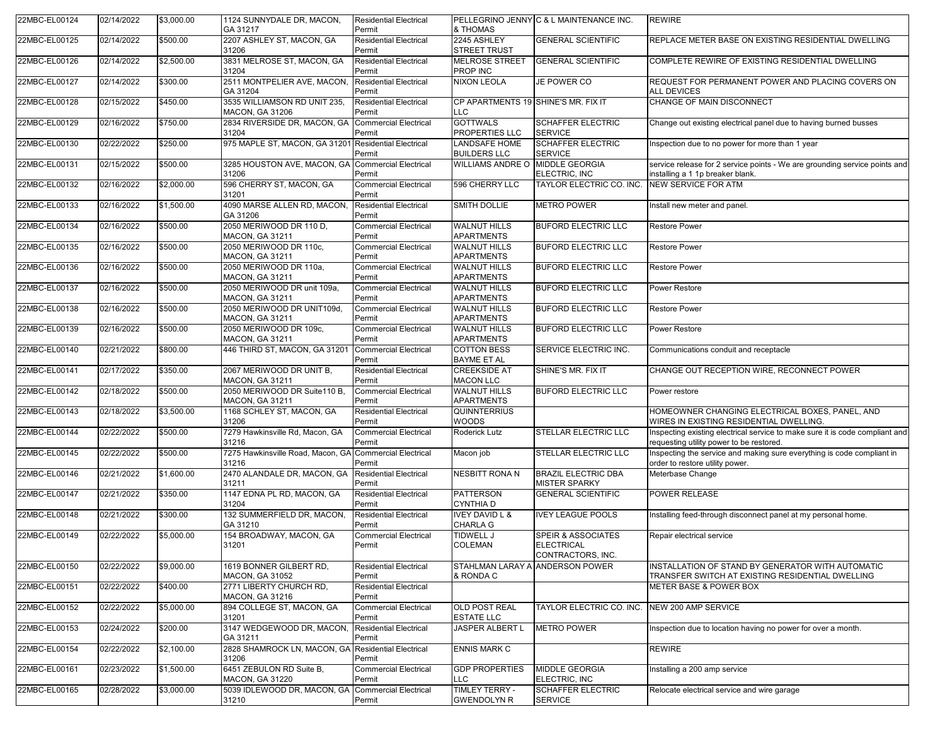| 22MBC-EL00124 | 02/14/2022 | \$3,000.00 | 1124 SUNNYDALE DR, MACON,<br>GA 31217                            | <b>Residential Electrical</b><br>Permit | & THOMAS                                     | PELLEGRINO JENNY C & L MAINTENANCE INC.                                 | <b>REWIRE</b>                                                                                                            |
|---------------|------------|------------|------------------------------------------------------------------|-----------------------------------------|----------------------------------------------|-------------------------------------------------------------------------|--------------------------------------------------------------------------------------------------------------------------|
| 22MBC-EL00125 | 02/14/2022 | \$500.00   | 2207 ASHLEY ST, MACON, GA<br>31206                               | <b>Residential Electrical</b><br>Permit | 2245 ASHLEY<br><b>STREET TRUST</b>           | <b>GENERAL SCIENTIFIC</b>                                               | REPLACE METER BASE ON EXISTING RESIDENTIAL DWELLING                                                                      |
| 22MBC-EL00126 | 02/14/2022 | \$2,500.00 | 3831 MELROSE ST, MACON, GA<br>31204                              | <b>Residential Electrical</b><br>Permit | <b>MELROSE STREET</b><br>PROP INC            | <b>GENERAL SCIENTIFIC</b>                                               | COMPLETE REWIRE OF EXISTING RESIDENTIAL DWELLING                                                                         |
| 22MBC-EL00127 | 02/14/2022 | \$300.00   | 2511 MONTPELIER AVE, MACON,<br>GA 31204                          | <b>Residential Electrical</b><br>Permit | <b>NIXON LEOLA</b>                           | JE POWER CO                                                             | REQUEST FOR PERMANENT POWER AND PLACING COVERS ON<br>ALL DEVICES                                                         |
| 22MBC-EL00128 | 02/15/2022 | \$450.00   | 3535 WILLIAMSON RD UNIT 235,<br>MACON, GA 31206                  | <b>Residential Electrical</b><br>Permit | CP APARTMENTS 19 SHINE'S MR. FIX IT<br>LLC.  |                                                                         | CHANGE OF MAIN DISCONNECT                                                                                                |
| 22MBC-EL00129 | 02/16/2022 | \$750.00   | 2834 RIVERSIDE DR, MACON, GA<br>31204                            | <b>Commercial Electrical</b><br>Permit  | <b>GOTTWALS</b><br><b>PROPERTIES LLC</b>     | <b>SCHAFFER ELECTRIC</b><br><b>SERVICE</b>                              | Change out existing electrical panel due to having burned busses                                                         |
| 22MBC-EL00130 | 02/22/2022 | \$250.00   | 975 MAPLE ST, MACON, GA 31201 Residential Electrical             | Permit                                  | <b>LANDSAFE HOME</b><br><b>BUILDERS LLC</b>  | <b>SCHAFFER ELECTRIC</b><br><b>SERVICE</b>                              | Inspection due to no power for more than 1 year                                                                          |
| 22MBC-EL00131 | 02/15/2022 | \$500.00   | 3285 HOUSTON AVE, MACON, GA<br>31206                             | <b>Commercial Electrical</b><br>Permit  | WILLIAMS ANDRE O MIDDLE GEORGIA              | ELECTRIC, INC                                                           | service release for 2 service points - We are grounding service points and<br>installing a 1 1p breaker blank.           |
| 22MBC-EL00132 | 02/16/2022 | \$2,000.00 | 596 CHERRY ST, MACON, GA<br>31201                                | <b>Commercial Electrical</b><br>Permit  | 596 CHERRY LLC                               | TAYLOR ELECTRIC CO. INC.                                                | <b>NEW SERVICE FOR ATM</b>                                                                                               |
| 22MBC-EL00133 | 02/16/2022 | \$1,500.00 | 4090 MARSE ALLEN RD, MACON,<br>GA 31206                          | <b>Residential Electrical</b><br>Permit | <b>SMITH DOLLIE</b>                          | <b>METRO POWER</b>                                                      | Install new meter and panel.                                                                                             |
| 22MBC-EL00134 | 02/16/2022 | \$500.00   | 2050 MERIWOOD DR 110 D,<br>MACON, GA 31211                       | <b>Commercial Electrical</b><br>Permit  | <b>WALNUT HILLS</b><br><b>APARTMENTS</b>     | <b>BUFORD ELECTRIC LLC</b>                                              | <b>Restore Power</b>                                                                                                     |
| 22MBC-EL00135 | 02/16/2022 | \$500.00   | 2050 MERIWOOD DR 110c,<br><b>MACON, GA 31211</b>                 | <b>Commercial Electrical</b><br>Permit  | <b>WALNUT HILLS</b><br><b>APARTMENTS</b>     | <b>BUFORD ELECTRIC LLC</b>                                              | <b>Restore Power</b>                                                                                                     |
| 22MBC-EL00136 | 02/16/2022 | \$500.00   | 2050 MERIWOOD DR 110a,<br>MACON, GA 31211                        | <b>Commercial Electrical</b><br>Permit  | <b>WALNUT HILLS</b><br><b>APARTMENTS</b>     | <b>BUFORD ELECTRIC LLC</b>                                              | <b>Restore Power</b>                                                                                                     |
| 22MBC-EL00137 | 02/16/2022 | \$500.00   | 2050 MERIWOOD DR unit 109a,<br><b>MACON, GA 31211</b>            | <b>Commercial Electrical</b><br>Permit  | <b>WALNUT HILLS</b><br><b>APARTMENTS</b>     | <b>BUFORD ELECTRIC LLC</b>                                              | Power Restore                                                                                                            |
| 22MBC-EL00138 | 02/16/2022 | \$500.00   | 2050 MERIWOOD DR UNIT109d.<br>MACON, GA 31211                    | <b>Commercial Electrical</b><br>Permit  | <b>WALNUT HILLS</b><br><b>APARTMENTS</b>     | <b>BUFORD ELECTRIC LLC</b>                                              | <b>Restore Power</b>                                                                                                     |
| 22MBC-EL00139 | 02/16/2022 | \$500.00   | 2050 MERIWOOD DR 109c,<br><b>MACON, GA 31211</b>                 | <b>Commercial Electrical</b><br>Permit  | <b>WALNUT HILLS</b><br><b>APARTMENTS</b>     | <b>BUFORD ELECTRIC LLC</b>                                              | Power Restore                                                                                                            |
| 22MBC-EL00140 | 02/21/2022 | \$800.00   | 446 THIRD ST, MACON, GA 31201                                    | <b>Commercial Electrical</b><br>Permit  | <b>COTTON BESS</b><br><b>BAYME ET AL</b>     | SERVICE ELECTRIC INC.                                                   | Communications conduit and receptacle                                                                                    |
| 22MBC-EL00141 | 02/17/2022 | \$350.00   | 2067 MERIWOOD DR UNIT B,<br><b>MACON, GA 31211</b>               | <b>Residential Electrical</b><br>Permit | <b>CREEKSIDE AT</b><br><b>MACON LLC</b>      | SHINE'S MR. FIX IT                                                      | CHANGE OUT RECEPTION WIRE, RECONNECT POWER                                                                               |
| 22MBC-EL00142 | 02/18/2022 | \$500.00   | 2050 MERIWOOD DR Suite110 B,<br>MACON, GA 31211                  | <b>Commercial Electrical</b><br>Permit  | <b>WALNUT HILLS</b><br><b>APARTMENTS</b>     | <b>BUFORD ELECTRIC LLC</b>                                              | Power restore                                                                                                            |
| 22MBC-EL00143 | 02/18/2022 | \$3,500.00 | 1168 SCHLEY ST, MACON, GA<br>31206                               | <b>Residential Electrical</b><br>Permit | <b>QUINNTERRIUS</b><br><b>WOODS</b>          |                                                                         | HOMEOWNER CHANGING ELECTRICAL BOXES, PANEL, AND<br>WIRES IN EXISTING RESIDENTIAL DWELLING.                               |
| 22MBC-EL00144 | 02/22/2022 | \$500.00   | 7279 Hawkinsville Rd, Macon, GA<br>31216                         | <b>Commercial Electrical</b><br>Permit  | Roderick Lutz                                | <b>STELLAR ELECTRIC LLC</b>                                             | Inspecting existing electrical service to make sure it is code compliant and<br>requesting utility power to be restored. |
| 22MBC-EL00145 | 02/22/2022 | \$500.00   | 7275 Hawkinsville Road, Macon, GA Commercial Electrical<br>31216 | Permit                                  | Macon job                                    | STELLAR ELECTRIC LLC                                                    | Inspecting the service and making sure everything is code compliant in<br>order to restore utility power.                |
| 22MBC-EL00146 | 02/21/2022 | \$1,600.00 | 2470 ALANDALE DR, MACON, GA<br>31211                             | <b>Residential Electrical</b><br>Permit | <b>NESBITT RONA N</b>                        | <b>BRAZIL ELECTRIC DBA</b><br><b>MISTER SPARKY</b>                      | Meterbase Change                                                                                                         |
| 22MBC-EL00147 | 02/21/2022 | \$350.00   | 1147 EDNA PL RD. MACON. GA<br>31204                              | <b>Residential Electrical</b><br>Permit | <b>PATTERSON</b><br><b>CYNTHIAD</b>          | <b>GENERAL SCIENTIFIC</b>                                               | <b>POWER RELEASE</b>                                                                                                     |
| 22MBC-EL00148 | 02/21/2022 | \$300.00   | 132 SUMMERFIELD DR, MACON,<br>GA 31210                           | <b>Residential Electrical</b><br>Permit | <b>IVEY DAVID L &amp;</b><br><b>CHARLA G</b> | <b>IVEY LEAGUE POOLS</b>                                                | Installing feed-through disconnect panel at my personal home.                                                            |
| 22MBC-EL00149 | 02/22/2022 | \$5,000.00 | 154 BROADWAY, MACON, GA<br>31201                                 | <b>Commercial Electrical</b><br>Permit  | <b>TIDWELL J</b><br><b>COLEMAN</b>           | <b>SPEIR &amp; ASSOCIATES</b><br><b>ELECTRICAL</b><br>CONTRACTORS, INC. | Repair electrical service                                                                                                |
| 22MBC-EL00150 | 02/22/2022 | \$9,000.00 | 1619 BONNER GILBERT RD,<br>MACON, GA 31052                       | <b>Residential Electrical</b><br>Permit | & RONDA C                                    | STAHLMAN LARAY A ANDERSON POWER                                         | INSTALLATION OF STAND BY GENERATOR WITH AUTOMATIC<br>TRANSFER SWITCH AT EXISTING RESIDENTIAL DWELLING                    |
| 22MBC-EL00151 | 02/22/2022 | \$400.00   | 2771 LIBERTY CHURCH RD,<br>MACON, GA 31216                       | <b>Residential Electrical</b><br>Permit |                                              |                                                                         | METER BASE & POWER BOX                                                                                                   |
| 22MBC-EL00152 | 02/22/2022 | \$5,000.00 | 894 COLLEGE ST, MACON, GA<br>31201                               | <b>Commercial Electrical</b><br>Permit  | <b>OLD POST REAL</b><br><b>ESTATE LLC</b>    | TAYLOR ELECTRIC CO. INC.                                                | NEW 200 AMP SERVICE                                                                                                      |
| 22MBC-EL00153 | 02/24/2022 | \$200.00   | 3147 WEDGEWOOD DR, MACON,<br>GA 31211                            | Residential Electrical<br>Permit        | JASPER ALBERT L                              | <b>METRO POWER</b>                                                      | Inspection due to location having no power for over a month.                                                             |
| 22MBC-EL00154 | 02/22/2022 | \$2,100.00 | 2828 SHAMROCK LN, MACON, GA Residential Electrical<br>31206      | Permit                                  | <b>ENNIS MARK C</b>                          |                                                                         | <b>REWIRE</b>                                                                                                            |
| 22MBC-EL00161 | 02/23/2022 | \$1,500.00 | 6451 ZEBULON RD Suite B,<br><b>MACON, GA 31220</b>               | <b>Commercial Electrical</b><br>Permit  | <b>GDP PROPERTIES</b><br><b>LLC</b>          | <b>MIDDLE GEORGIA</b><br>ELECTRIC, INC                                  | Installing a 200 amp service                                                                                             |
| 22MBC-EL00165 | 02/28/2022 | \$3,000.00 | 5039 IDLEWOOD DR, MACON, GA<br>31210                             | <b>Commercial Electrical</b><br>Permit  | <b>TIMLEY TERRY -</b><br><b>GWENDOLYN R</b>  | <b>SCHAFFER ELECTRIC</b><br><b>SERVICE</b>                              | Relocate electrical service and wire garage                                                                              |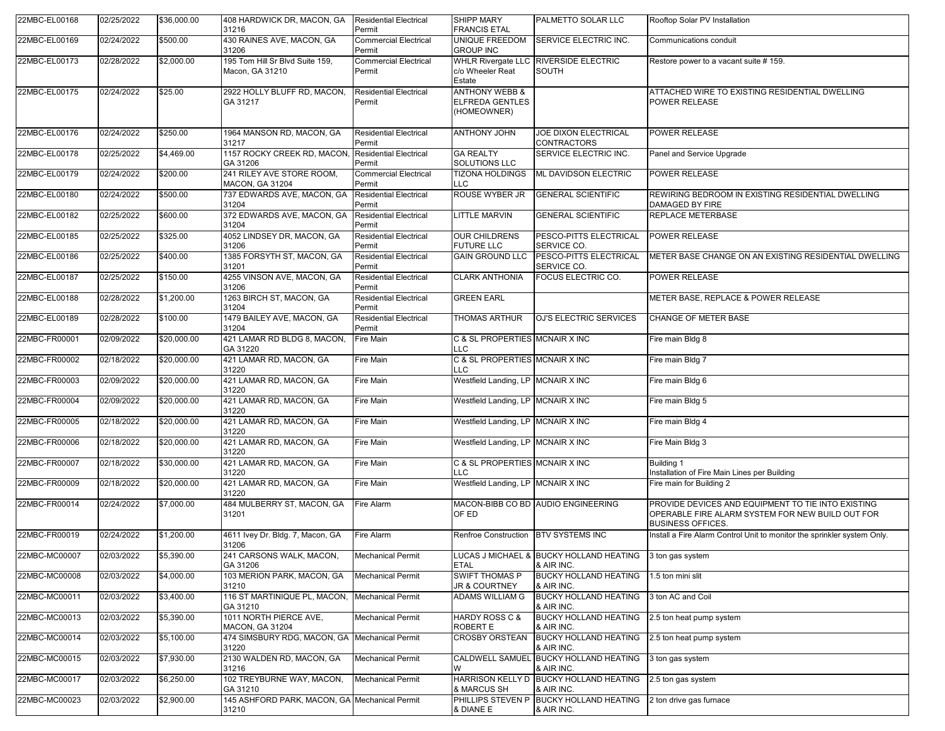| 22MBC-EL00168 | 02/25/2022 | \$36,000.00 | 408 HARDWICK DR, MACON, GA<br>31216                    | <b>Residential Electrical</b><br>Permit | SHIPP MARY<br><b>FRANCIS ETAL</b>                                  | PALMETTO SOLAR LLC                                    | Rooftop Solar PV Installation                                                                                                      |
|---------------|------------|-------------|--------------------------------------------------------|-----------------------------------------|--------------------------------------------------------------------|-------------------------------------------------------|------------------------------------------------------------------------------------------------------------------------------------|
| 22MBC-EL00169 | 02/24/2022 | \$500.00    | 430 RAINES AVE, MACON, GA<br>31206                     | <b>Commercial Electrical</b><br>Permit  | UNIQUE FREEDOM<br><b>GROUP INC</b>                                 | SERVICE ELECTRIC INC.                                 | Communications conduit                                                                                                             |
| 22MBC-EL00173 | 02/28/2022 | \$2,000.00  | 195 Tom Hill Sr Blvd Suite 159,<br>Macon, GA 31210     | <b>Commercial Electrical</b><br>Permit  | <b>WHLR Rivergate LLC</b><br>c/o Wheeler Reat<br>Estate            | <b>RIVERSIDE ELECTRIC</b><br>SOUTH                    | Restore power to a vacant suite # 159.                                                                                             |
| 22MBC-EL00175 | 02/24/2022 | \$25.00     | 2922 HOLLY BLUFF RD, MACON,<br>GA 31217                | <b>Residential Electrical</b><br>Permit | <b>ANTHONY WEBB &amp;</b><br><b>ELFREDA GENTLES</b><br>(HOMEOWNER) |                                                       | ATTACHED WIRE TO EXISTING RESIDENTIAL DWELLING<br><b>POWER RELEASE</b>                                                             |
| 22MBC-EL00176 | 02/24/2022 | \$250.00    | 1964 MANSON RD, MACON, GA<br>31217                     | <b>Residential Electrical</b><br>Permit | ANTHONY JOHN                                                       | JOE DIXON ELECTRICAL<br>CONTRACTORS                   | <b>POWER RELEASE</b>                                                                                                               |
| 22MBC-EL00178 | 02/25/2022 | \$4,469.00  | 1157 ROCKY CREEK RD, MACON,<br>GA 31206                | Residential Electrical<br>Permit        | <b>GA REALTY</b><br>SOLUTIONS LLC                                  | SERVICE ELECTRIC INC.                                 | Panel and Service Upgrade                                                                                                          |
| 22MBC-EL00179 | 02/24/2022 | \$200.00    | 241 RILEY AVE STORE ROOM,<br>MACON, GA 31204           | <b>Commercial Electrical</b><br>Permit  | <b>TIZONA HOLDINGS</b><br>LLC                                      | <b>ML DAVIDSON ELECTRIC</b>                           | <b>POWER RELEASE</b>                                                                                                               |
| 22MBC-EL00180 | 02/24/2022 | \$500.00    | 737 EDWARDS AVE, MACON, GA<br>31204                    | <b>Residential Electrical</b><br>Permit | ROUSE WYBER JR                                                     | <b>GENERAL SCIENTIFIC</b>                             | REWIRING BEDROOM IN EXISTING RESIDENTIAL DWELLING<br>DAMAGED BY FIRE                                                               |
| 22MBC-EL00182 | 02/25/2022 | \$600.00    | 372 EDWARDS AVE, MACON, GA<br>31204                    | <b>Residential Electrical</b><br>Permit | <b>LITTLE MARVIN</b>                                               | <b>GENERAL SCIENTIFIC</b>                             | <b>REPLACE METERBASE</b>                                                                                                           |
| 22MBC-EL00185 | 02/25/2022 | \$325.00    | 4052 LINDSEY DR, MACON, GA<br>31206                    | <b>Residential Electrical</b><br>Permit | <b>OUR CHILDRENS</b><br><b>FUTURE LLC</b>                          | PESCO-PITTS ELECTRICAL<br>SERVICE CO.                 | <b>POWER RELEASE</b>                                                                                                               |
| 22MBC-EL00186 | 02/25/2022 | \$400.00    | 1385 FORSYTH ST, MACON, GA<br>31201                    | <b>Residential Electrical</b><br>Permit | <b>GAIN GROUND LLC</b>                                             | PESCO-PITTS ELECTRICAL<br>SERVICE CO.                 | METER BASE CHANGE ON AN EXISTING RESIDENTIAL DWELLING                                                                              |
| 22MBC-EL00187 | 02/25/2022 | \$150.00    | 4255 VINSON AVE, MACON, GA<br>31206                    | <b>Residential Electrical</b><br>Permit | <b>CLARK ANTHONIA</b>                                              | FOCUS ELECTRIC CO.                                    | <b>POWER RELEASE</b>                                                                                                               |
| 22MBC-EL00188 | 02/28/2022 | \$1,200.00  | 1263 BIRCH ST, MACON, GA<br>31204                      | <b>Residential Electrical</b><br>Permit | <b>GREEN EARL</b>                                                  |                                                       | METER BASE, REPLACE & POWER RELEASE                                                                                                |
| 22MBC-EL00189 | 02/28/2022 | \$100.00    | 1479 BAILEY AVE, MACON, GA<br>31204                    | <b>Residential Electrical</b><br>Permit | <b>THOMAS ARTHUR</b>                                               | OJ'S ELECTRIC SERVICES                                | CHANGE OF METER BASE                                                                                                               |
| 22MBC-FR00001 | 02/09/2022 | \$20,000.00 | 421 LAMAR RD BLDG 8, MACON,<br>GA 31220                | Fire Main                               | C & SL PROPERTIES MCNAIR X INC<br>LLC                              |                                                       | Fire main Bldg 8                                                                                                                   |
| 22MBC-FR00002 | 02/18/2022 | \$20,000.00 | 421 LAMAR RD, MACON, GA<br>31220                       | Fire Main                               | C & SL PROPERTIES MCNAIR X INC<br>LLC                              |                                                       | Fire main Bldg 7                                                                                                                   |
| 22MBC-FR00003 | 02/09/2022 | \$20,000.00 | 421 LAMAR RD, MACON, GA<br>31220                       | Fire Main                               | Westfield Landing, LP MCNAIR X INC                                 |                                                       | Fire main Bldg 6                                                                                                                   |
| 22MBC-FR00004 | 02/09/2022 | \$20,000.00 | 421 LAMAR RD, MACON, GA<br>31220                       | Fire Main                               | Westfield Landing, LP   MCNAIR X INC                               |                                                       | Fire main Bldg 5                                                                                                                   |
| 22MBC-FR00005 | 02/18/2022 | \$20,000.00 | 421 LAMAR RD, MACON, GA<br>31220                       | Fire Main                               | Westfield Landing, LP MCNAIR X INC                                 |                                                       | Fire main Bldg 4                                                                                                                   |
| 22MBC-FR00006 | 02/18/2022 | \$20,000.00 | 421 LAMAR RD, MACON, GA<br>31220                       | Fire Main                               | Westfield Landing, LP MCNAIR X INC                                 |                                                       | Fire Main Bldg 3                                                                                                                   |
| 22MBC-FR00007 | 02/18/2022 | \$30,000.00 | 421 LAMAR RD, MACON, GA<br>31220                       | Fire Main                               | C & SL PROPERTIES MCNAIR X INC<br>LLC.                             |                                                       | <b>Building 1</b><br>Installation of Fire Main Lines per Building                                                                  |
| 22MBC-FR00009 | 02/18/2022 | \$20,000.00 | 421 LAMAR RD, MACON, GA<br>31220                       | Fire Main                               | Westfield Landing, LP MCNAIR X INC                                 |                                                       | Fire main for Building 2                                                                                                           |
| 22MBC-FR00014 | 02/24/2022 | \$7,000.00  | 484 MULBERRY ST, MACON, GA<br>31201                    | Fire Alarm                              | OF ED                                                              | MACON-BIBB CO BD AUDIO ENGINEERING                    | PROVIDE DEVICES AND EQUIPMENT TO TIE INTO EXISTING<br>OPERABLE FIRE ALARM SYSTEM FOR NEW BUILD OUT FOR<br><b>BUSINESS OFFICES.</b> |
| 22MBC-FR00019 | 02/24/2022 | \$1,200.00  | 4611 Ivey Dr. Bldg. 7, Macon, GA<br>31206              | Fire Alarm                              | Renfroe Construction                                               | <b>BTV SYSTEMS INC</b>                                | Install a Fire Alarm Control Unit to monitor the sprinkler system Only.                                                            |
| 22MBC-MC00007 | 02/03/2022 | \$5,390.00  | 241 CARSONS WALK, MACON,<br>GA 31206                   | <b>Mechanical Permit</b>                | <b>ETAL</b>                                                        | LUCAS J MICHAEL & BUCKY HOLLAND HEATING<br>& AIR INC. | 3 ton gas system                                                                                                                   |
| 22MBC-MC00008 | 02/03/2022 | \$4,000.00  | 103 MERION PARK, MACON, GA<br>31210                    | <b>Mechanical Permit</b>                | <b>SWIFT THOMAS P</b><br>JR & COURTNEY                             | <b>BUCKY HOLLAND HEATING</b><br>& AIR INC.            | 1.5 ton mini slit                                                                                                                  |
| 22MBC-MC00011 | 02/03/2022 | \$3,400.00  | 116 ST MARTINIQUE PL, MACON,<br>GA 31210               | <b>Mechanical Permit</b>                | <b>ADAMS WILLIAM G</b>                                             | <b>BUCKY HOLLAND HEATING</b><br>& AIR INC.            | 3 ton AC and Coil                                                                                                                  |
| 22MBC-MC00013 | 02/03/2022 | \$5,390.00  | 1011 NORTH PIERCE AVE,<br>MACON, GA 31204              | <b>Mechanical Permit</b>                | HARDY ROSS C &<br>ROBERT E                                         | <b>BUCKY HOLLAND HEATING</b><br>& AIR INC.            | 2.5 ton heat pump system                                                                                                           |
| 22MBC-MC00014 | 02/03/2022 | \$5,100.00  | 474 SIMSBURY RDG, MACON, GA Mechanical Permit<br>31220 |                                         | <b>CROSBY ORSTEAN</b>                                              | <b>BUCKY HOLLAND HEATING</b><br>& AIR INC.            | 2.5 ton heat pump system                                                                                                           |
| 22MBC-MC00015 | 02/03/2022 | \$7,930.00  | 2130 WALDEN RD, MACON, GA<br>31216                     | <b>Mechanical Permit</b>                | W                                                                  | CALDWELL SAMUEL BUCKY HOLLAND HEATING<br>& AIR INC.   | 3 ton gas system                                                                                                                   |
| 22MBC-MC00017 | 02/03/2022 | \$6,250.00  | 102 TREYBURNE WAY, MACON,<br>GA 31210                  | <b>Mechanical Permit</b>                | & MARCUS SH                                                        | HARRISON KELLY D BUCKY HOLLAND HEATING<br>& AIR INC.  | 2.5 ton gas system                                                                                                                 |
| 22MBC-MC00023 | 02/03/2022 | \$2,900.00  | 145 ASHFORD PARK, MACON, GA Mechanical Permit<br>31210 |                                         | PHILLIPS STEVEN P<br>& DIANE E                                     | <b>BUCKY HOLLAND HEATING</b><br>& AIR INC.            | 2 ton drive gas furnace                                                                                                            |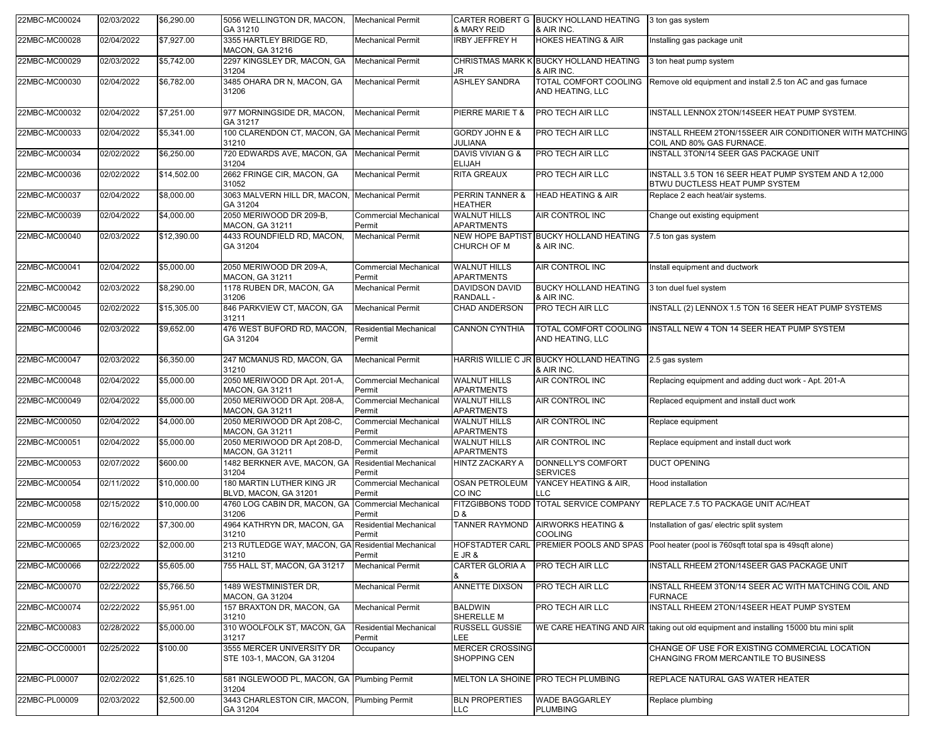| 22MBC-MC00024  | 02/03/2022 | \$6,290.00  | 5056 WELLINGTON DR, MACON,<br>GA 31210                      | <b>Mechanical Permit</b>                | & MARY REID                               | CARTER ROBERT G BUCKY HOLLAND HEATING<br>& AIR INC.    | 3 ton gas system                                                                               |
|----------------|------------|-------------|-------------------------------------------------------------|-----------------------------------------|-------------------------------------------|--------------------------------------------------------|------------------------------------------------------------------------------------------------|
| 22MBC-MC00028  | 02/04/2022 | \$7,927.00  | 3355 HARTLEY BRIDGE RD,<br>MACON, GA 31216                  | <b>Mechanical Permit</b>                | <b>IRBY JEFFREY H</b>                     | <b>HOKES HEATING &amp; AIR</b>                         | Installing gas package unit                                                                    |
| 22MBC-MC00029  | 02/03/2022 | \$5,742.00  | 2297 KINGSLEY DR, MACON, GA<br>31204                        | <b>Mechanical Permit</b>                | JR                                        | CHRISTMAS MARK K BUCKY HOLLAND HEATING<br>& AIR INC.   | 3 ton heat pump system                                                                         |
| 22MBC-MC00030  | 02/04/2022 | \$6,782.00  | 3485 OHARA DR N, MACON, GA<br>31206                         | <b>Mechanical Permit</b>                | <b>ASHLEY SANDRA</b>                      | TOTAL COMFORT COOLING<br>AND HEATING, LLC              | Remove old equipment and install 2.5 ton AC and gas furnace                                    |
| 22MBC-MC00032  | 02/04/2022 | \$7,251.00  | 977 MORNINGSIDE DR, MACON,<br>GA 31217                      | <b>Mechanical Permit</b>                | PIERRE MARIE T &                          | PRO TECH AIR LLC                                       | INSTALL LENNOX 2TON/14SEER HEAT PUMP SYSTEM.                                                   |
| 22MBC-MC00033  | 02/04/2022 | \$5,341.00  | 100 CLARENDON CT, MACON, GA Mechanical Permit<br>31210      |                                         | <b>GORDY JOHN E &amp;</b><br>JULIANA      | PRO TECH AIR LLC                                       | INSTALL RHEEM 2TON/15SEER AIR CONDITIONER WITH MATCHING<br>COIL AND 80% GAS FURNACE.           |
| 22MBC-MC00034  | 02/02/2022 | \$6,250.00  | 720 EDWARDS AVE, MACON, GA Mechanical Permit<br>31204       |                                         | DAVIS VIVIAN G &<br><b>ELIJAH</b>         | PRO TECH AIR LLC                                       | INSTALL 3TON/14 SEER GAS PACKAGE UNIT                                                          |
| 22MBC-MC00036  | 02/02/2022 | \$14,502.00 | 2662 FRINGE CIR, MACON, GA<br>31052                         | <b>Mechanical Permit</b>                | <b>RITA GREAUX</b>                        | PRO TECH AIR LLC                                       | INSTALL 3.5 TON 16 SEER HEAT PUMP SYSTEM AND A 12,000<br>BTWU DUCTLESS HEAT PUMP SYSTEM        |
| 22MBC-MC00037  | 02/04/2022 | \$8,000.00  | 3063 MALVERN HILL DR, MACON, Mechanical Permit<br>GA 31204  |                                         | PERRIN TANNER &<br><b>HEATHER</b>         | <b>HEAD HEATING &amp; AIR</b>                          | Replace 2 each heat/air systems.                                                               |
| 22MBC-MC00039  | 02/04/2022 | \$4,000.00  | 2050 MERIWOOD DR 209-B,<br><b>MACON, GA 31211</b>           | <b>Commercial Mechanical</b><br>Permit  | <b>WALNUT HILLS</b><br><b>APARTMENTS</b>  | AIR CONTROL INC                                        | Change out existing equipment                                                                  |
| 22MBC-MC00040  | 02/03/2022 | \$12,390.00 | 4433 ROUNDFIELD RD, MACON,<br>GA 31204                      | <b>Mechanical Permit</b>                | CHURCH OF M                               | NEW HOPE BAPTIST BUCKY HOLLAND HEATING<br>& AIR INC.   | 7.5 ton gas system                                                                             |
| 22MBC-MC00041  | 02/04/2022 | \$5,000.00  | 2050 MERIWOOD DR 209-A,<br>MACON, GA 31211                  | <b>Commercial Mechanical</b><br>Permit  | <b>WALNUT HILLS</b><br><b>APARTMENTS</b>  | AIR CONTROL INC                                        | Install equipment and ductwork                                                                 |
| 22MBC-MC00042  | 02/03/2022 | \$8,290.00  | 1178 RUBEN DR, MACON, GA<br>31206                           | <b>Mechanical Permit</b>                | <b>DAVIDSON DAVID</b><br><b>RANDALL -</b> | <b>BUCKY HOLLAND HEATING</b><br>& AIR INC.             | 3 ton duel fuel system                                                                         |
| 22MBC-MC00045  | 02/02/2022 | \$15,305.00 | 846 PARKVIEW CT, MACON, GA<br>31211                         | <b>Mechanical Permit</b>                | <b>CHAD ANDERSON</b>                      | PRO TECH AIR LLC                                       | INSTALL (2) LENNOX 1.5 TON 16 SEER HEAT PUMP SYSTEMS                                           |
| 22MBC-MC00046  | 02/03/2022 | \$9,652.00  | 476 WEST BUFORD RD, MACON,<br>GA 31204                      | Residential Mechanical<br>Permit        | <b>CANNON CYNTHIA</b>                     | TOTAL COMFORT COOLING<br>AND HEATING, LLC              | INSTALL NEW 4 TON 14 SEER HEAT PUMP SYSTEM                                                     |
| 22MBC-MC00047  | 02/03/2022 | \$6,350.00  | 247 MCMANUS RD, MACON, GA<br>31210                          | <b>Mechanical Permit</b>                |                                           | HARRIS WILLIE C JR BUCKY HOLLAND HEATING<br>& AIR INC. | 2.5 gas system                                                                                 |
| 22MBC-MC00048  | 02/04/2022 | \$5,000.00  | 2050 MERIWOOD DR Apt. 201-A,<br>MACON, GA 31211             | <b>Commercial Mechanical</b><br>Permit  | <b>WALNUT HILLS</b><br><b>APARTMENTS</b>  | AIR CONTROL INC                                        | Replacing equipment and adding duct work - Apt. 201-A                                          |
| 22MBC-MC00049  | 02/04/2022 | \$5,000.00  | 2050 MERIWOOD DR Apt. 208-A,<br><b>MACON, GA 31211</b>      | <b>Commercial Mechanical</b><br>Permit  | <b>WALNUT HILLS</b><br><b>APARTMENTS</b>  | AIR CONTROL INC                                        | Replaced equipment and install duct work                                                       |
| 22MBC-MC00050  | 02/04/2022 | \$4,000.00  | 2050 MERIWOOD DR Apt 208-C,<br><b>MACON, GA 31211</b>       | <b>Commercial Mechanical</b><br>Permit  | <b>WALNUT HILLS</b><br><b>APARTMENTS</b>  | AIR CONTROL INC                                        | Replace equipment                                                                              |
| 22MBC-MC00051  | 02/04/2022 | \$5,000.00  | 2050 MERIWOOD DR Apt 208-D,<br><b>MACON, GA 31211</b>       | <b>Commercial Mechanical</b><br>Permit  | <b>WALNUT HILLS</b><br><b>APARTMENTS</b>  | AIR CONTROL INC                                        | Replace equipment and install duct work                                                        |
| 22MBC-MC00053  | 02/07/2022 | \$600.00    | 1482 BERKNER AVE, MACON, GA<br>31204                        | <b>Residential Mechanical</b><br>Permit | HINTZ ZACKARY A                           | DONNELLY'S COMFORT<br><b>SERVICES</b>                  | <b>DUCT OPENING</b>                                                                            |
| 22MBC-MC00054  | 02/11/2022 | \$10,000.00 | 180 MARTIN LUTHER KING JR<br>BLVD, MACON, GA 31201          | <b>Commercial Mechanical</b><br>Permit  | <b>OSAN PETROLEUM</b><br>CO INC           | YANCEY HEATING & AIR,<br>TC.                           | Hood installation                                                                              |
| 22MBC-MC00058  | 02/15/2022 | \$10,000.00 | 4760 LOG CABIN DR, MACON, GA<br>31206                       | <b>Commercial Mechanical</b><br>Permit  | <b>FITZGIBBONS TODD</b><br>D &            | <b>TOTAL SERVICE COMPANY</b>                           | REPLACE 7.5 TO PACKAGE UNIT AC/HEAT                                                            |
| 22MBC-MC00059  | 02/16/2022 | \$7,300.00  | 4964 KATHRYN DR, MACON, GA<br>31210                         | <b>Residential Mechanical</b><br>Permit | <b>TANNER RAYMOND</b>                     | <b>AIRWORKS HEATING &amp;</b><br><b>COOLING</b>        | Installation of gas/ electric split system                                                     |
| 22MBC-MC00065  | 02/23/2022 | \$2,000.00  | 213 RUTLEDGE WAY, MACON, GA Residential Mechanical<br>31210 | Permit                                  | E JR &                                    |                                                        | HOFSTADTER CARL PREMIER POOLS AND SPAS Pool heater (pool is 760sqft total spa is 49sqft alone) |
| 22MBC-MC00066  | 02/22/2022 | \$5,605.00  | 755 HALL ST, MACON, GA 31217                                | <b>Mechanical Permit</b>                | <b>CARTER GLORIA A</b>                    | PRO TECH AIR LLC                                       | INSTALL RHEEM 2TON/14SEER GAS PACKAGE UNIT                                                     |
| 22MBC-MC00070  | 02/22/2022 | \$5,766.50  | 1489 WESTMINISTER DR.<br><b>MACON, GA 31204</b>             | <b>Mechanical Permit</b>                | <b>ANNETTE DIXSON</b>                     | PRO TECH AIR LLC                                       | INSTALL RHEEM 3TON/14 SEER AC WITH MATCHING COIL AND<br><b>FURNACE</b>                         |
| 22MBC-MC00074  | 02/22/2022 | \$5,951.00  | 157 BRAXTON DR, MACON, GA<br>31210                          | <b>Mechanical Permit</b>                | <b>BALDWIN</b><br>SHERELLE M              | PRO TECH AIR LLC                                       | INSTALL RHEEM 2TON/14SEER HEAT PUMP SYSTEM                                                     |
| 22MBC-MC00083  | 02/28/2022 | \$5,000.00  | 310 WOOLFOLK ST. MACON, GA<br>31217                         | <b>Residential Mechanical</b><br>Permit | <b>RUSSELL GUSSIE</b><br><b>LEE</b>       |                                                        | WE CARE HEATING AND AIR   taking out old equipment and installing 15000 btu mini split         |
| 22MBC-OCC00001 | 02/25/2022 | \$100.00    | 3555 MERCER UNIVERSITY DR<br>STE 103-1, MACON, GA 31204     | Occupancy                               | <b>MERCER CROSSING</b><br>SHOPPING CEN    |                                                        | CHANGE OF USE FOR EXISTING COMMERCIAL LOCATION<br>CHANGING FROM MERCANTILE TO BUSINESS         |
| 22MBC-PL00007  | 02/02/2022 | \$1,625.10  | 581 INGLEWOOD PL. MACON, GA Plumbing Permit<br>31204        |                                         |                                           | MELTON LA SHOINE PRO TECH PLUMBING                     | REPLACE NATURAL GAS WATER HEATER                                                               |
| 22MBC-PL00009  | 02/03/2022 | \$2,500.00  | 3443 CHARLESTON CIR, MACON, Plumbing Permit<br>GA 31204     |                                         | <b>BLN PROPERTIES</b><br><b>LLC</b>       | <b>WADE BAGGARLEY</b><br><b>PLUMBING</b>               | Replace plumbing                                                                               |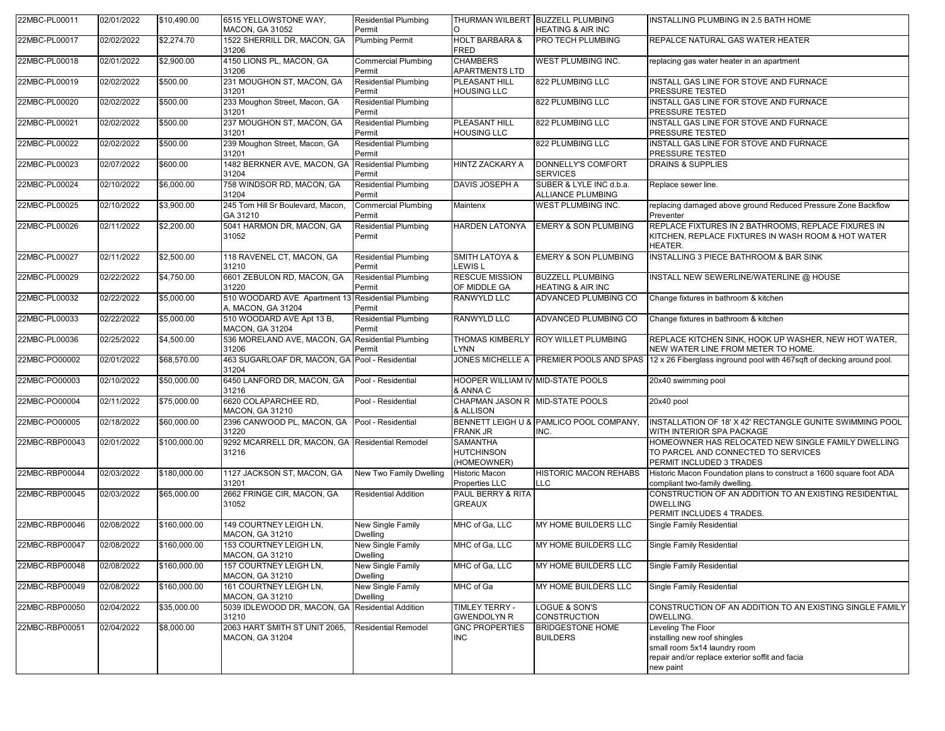| 22MBC-PL00011  | 02/01/2022 | \$10,490.00  | 6515 YELLOWSTONE WAY,<br>MACON, GA 31052                  | <b>Residential Plumbing</b><br>Permit | O                                                   | THURMAN WILBERT BUZZELL PLUMBING<br><b>HEATING &amp; AIR INC</b> | <b>INSTALLING PLUMBING IN 2.5 BATH HOME</b>                                                                                                        |
|----------------|------------|--------------|-----------------------------------------------------------|---------------------------------------|-----------------------------------------------------|------------------------------------------------------------------|----------------------------------------------------------------------------------------------------------------------------------------------------|
| 22MBC-PL00017  | 02/02/2022 | \$2,274.70   | 1522 SHERRILL DR, MACON, GA<br>31206                      | <b>Plumbing Permit</b>                | <b>HOLT BARBARA &amp;</b><br>FRED                   | PRO TECH PLUMBING                                                | REPALCE NATURAL GAS WATER HEATER                                                                                                                   |
| 22MBC-PL00018  | 02/01/2022 | \$2,900.00   | 4150 LIONS PL, MACON, GA<br>31206                         | <b>Commercial Plumbing</b><br>Permit  | <b>CHAMBERS</b><br><b>APARTMENTS LTD</b>            | WEST PLUMBING INC.                                               | replacing gas water heater in an apartment                                                                                                         |
| 22MBC-PL00019  | 02/02/2022 | \$500.00     | 231 MOUGHON ST, MACON, GA<br>31201                        | <b>Residential Plumbing</b><br>Permit | PLEASANT HILL<br><b>HOUSING LLC</b>                 | 822 PLUMBING LLC                                                 | INSTALL GAS LINE FOR STOVE AND FURNACE<br>PRESSURE TESTED                                                                                          |
| 22MBC-PL00020  | 02/02/2022 | \$500.00     | 233 Moughon Street, Macon, GA<br>31201                    | <b>Residential Plumbing</b><br>Permit |                                                     | 822 PLUMBING LLC                                                 | INSTALL GAS LINE FOR STOVE AND FURNACE<br>PRESSURE TESTED                                                                                          |
| 22MBC-PL00021  | 02/02/2022 | \$500.00     | 237 MOUGHON ST, MACON, GA<br>31201                        | <b>Residential Plumbing</b><br>Permit | <b>PLEASANT HILL</b><br><b>HOUSING LLC</b>          | 822 PLUMBING LLC                                                 | INSTALL GAS LINE FOR STOVE AND FURNACE<br>PRESSURE TESTED                                                                                          |
| 22MBC-PL00022  | 02/02/2022 | \$500.00     | 239 Moughon Street, Macon, GA<br>31201                    | <b>Residential Plumbing</b><br>Permit |                                                     | 822 PLUMBING LLC                                                 | INSTALL GAS LINE FOR STOVE AND FURNACE<br>PRESSURE TESTED                                                                                          |
| 22MBC-PL00023  | 02/07/2022 | \$600.00     | 1482 BERKNER AVE, MACON, GA<br>31204                      | <b>Residential Plumbing</b><br>Permit | <b>HINTZ ZACKARY A</b>                              | DONNELLY'S COMFORT<br><b>SERVICES</b>                            | <b>DRAINS &amp; SUPPLIES</b>                                                                                                                       |
| 22MBC-PL00024  | 02/10/2022 | \$6,000.00   | 758 WINDSOR RD, MACON, GA<br>31204                        | <b>Residential Plumbing</b><br>Permit | DAVIS JOSEPH A                                      | SUBER & LYLE INC d.b.a.<br>ALLIANCE PLUMBING                     | Replace sewer line.                                                                                                                                |
| 22MBC-PL00025  | 02/10/2022 | \$3,900.00   | 245 Tom Hill Sr Boulevard, Macon,<br>GA 31210             | <b>Commercial Plumbing</b><br>Permit  | Maintenx                                            | WEST PLUMBING INC.                                               | replacing damaged above ground Reduced Pressure Zone Backflow<br>Preventer                                                                         |
| 22MBC-PL00026  | 02/11/2022 | \$2,200.00   | 5041 HARMON DR, MACON, GA<br>31052                        | <b>Residential Plumbing</b><br>Permit | HARDEN LATONYA                                      | <b>EMERY &amp; SON PLUMBING</b>                                  | REPLACE FIXTURES IN 2 BATHROOMS, REPLACE FIXURES IN<br>KITCHEN, REPLACE FIXTURES IN WASH ROOM & HOT WATER<br>HEATER.                               |
| 22MBC-PL00027  | 02/11/2022 | \$2,500.00   | 118 RAVENEL CT, MACON, GA<br>31210                        | <b>Residential Plumbing</b><br>Permit | <b>SMITH LATOYA &amp;</b><br><b>LEWIS L</b>         | <b>EMERY &amp; SON PLUMBING</b>                                  | INSTALLING 3 PIECE BATHROOM & BAR SINK                                                                                                             |
| 22MBC-PL00029  | 02/22/2022 | \$4,750.00   | 6601 ZEBULON RD, MACON, GA<br>31220                       | <b>Residential Plumbing</b><br>Permit | <b>RESCUE MISSION</b><br>OF MIDDLE GA               | <b>BUZZELL PLUMBING</b><br><b>HEATING &amp; AIR INC</b>          | INSTALL NEW SEWERLINE/WATERLINE @ HOUSE                                                                                                            |
| 22MBC-PL00032  | 02/22/2022 | \$5,000.00   | 510 WOODARD AVE Apartment 13<br>A, MACON, GA 31204        | <b>Residential Plumbing</b><br>Permit | RANWYLD LLC                                         | <b>ADVANCED PLUMBING CO</b>                                      | Change fixtures in bathroom & kitchen                                                                                                              |
| 22MBC-PL00033  | 02/22/2022 | \$5,000.00   | 510 WOODARD AVE Apt 13 B,<br>MACON, GA 31204              | <b>Residential Plumbing</b><br>Permit | RANWYLD LLC                                         | ADVANCED PLUMBING CO                                             | Change fixtures in bathroom & kitchen                                                                                                              |
| 22MBC-PL00036  | 02/25/2022 | \$4,500.00   | 536 MORELAND AVE, MACON, GA Residential Plumbing<br>31206 | Permit                                | LYNN                                                | THOMAS KIMBERLY ROY WILLET PLUMBING                              | REPLACE KITCHEN SINK, HOOK UP WASHER, NEW HOT WATER,<br>NEW WATER LINE FROM METER TO HOME.                                                         |
| 22MBC-PO00002  | 02/01/2022 | \$68,570.00  | 463 SUGARLOAF DR, MACON, GA Pool - Residential<br>31204   |                                       |                                                     |                                                                  | JONES MICHELLE A PREMIER POOLS AND SPAS 12 x 26 Fiberglass inground pool with 467sqft of decking around pool.                                      |
| 22MBC-PO00003  | 02/10/2022 | \$50,000.00  | 6450 LANFORD DR, MACON, GA<br>31216                       | Pool - Residential                    | HOOPER WILLIAM IV MID-STATE POOLS<br>& ANNA C       |                                                                  | 20x40 swimming pool                                                                                                                                |
| 22MBC-PO00004  | 02/11/2022 | \$75,000.00  | 6620 COLAPARCHEE RD,<br>MACON, GA 31210                   | Pool - Residential                    | CHAPMAN JASON R MID-STATE POOLS<br>& ALLISON        |                                                                  | 20x40 pool                                                                                                                                         |
| 22MBC-PO00005  | 02/18/2022 | \$60,000.00  | 2396 CANWOOD PL, MACON, GA Pool - Residential<br>31220    |                                       | FRANK JR                                            | BENNETT LEIGH U & PAMLICO POOL COMPANY<br>INC.                   | INSTALLATION OF 18' X 42' RECTANGLE GUNITE SWIMMING POOL<br>WITH INTERIOR SPA PACKAGE                                                              |
| 22MBC-RBP00043 | 02/01/2022 | \$100,000.00 | 9292 MCARRELL DR, MACON, GA Residential Remodel<br>31216  |                                       | <b>SAMANTHA</b><br><b>HUTCHINSON</b><br>(HOMEOWNER) |                                                                  | HOMEOWNER HAS RELOCATED NEW SINGLE FAMILY DWELLING<br>TO PARCEL AND CONNECTED TO SERVICES<br>PERMIT INCLUDED 3 TRADES                              |
| 22MBC-RBP00044 | 02/03/2022 | \$180,000.00 | 1127 JACKSON ST, MACON, GA<br>31201                       | New Two Family Dwelling               | <b>Historic Macon</b><br>Properties LLC             | <b>HISTORIC MACON REHABS</b><br><b>LLC</b>                       | Historic Macon Foundation plans to construct a 1600 square foot ADA<br>compliant two-family dwelling.                                              |
| 22MBC-RBP00045 | 02/03/2022 | \$65,000.00  | 2662 FRINGE CIR, MACON, GA<br>31052                       | <b>Residential Addition</b>           | PAUL BERRY & RITA<br><b>GREAUX</b>                  |                                                                  | CONSTRUCTION OF AN ADDITION TO AN EXISTING RESIDENTIAL<br><b>DWELLING</b><br>PERMIT INCLUDES 4 TRADES.                                             |
| 22MBC-RBP00046 | 02/08/2022 | \$160,000.00 | 149 COURTNEY LEIGH LN,<br><b>MACON, GA 31210</b>          | New Single Family<br>Dwelling         | MHC of Ga, LLC                                      | MY HOME BUILDERS LLC                                             | <b>Single Family Residential</b>                                                                                                                   |
| 22MBC-RBP00047 | 02/08/2022 | \$160,000.00 | 153 COURTNEY LEIGH LN,<br>MACON, GA 31210                 | New Single Family<br>Dwelling         | MHC of Ga, LLC                                      | MY HOME BUILDERS LLC                                             | Single Family Residential                                                                                                                          |
| 22MBC-RBP00048 | 02/08/2022 | \$160,000.00 | 157 COURTNEY LEIGH LN,<br>MACON, GA 31210                 | New Single Family<br>Dwelling         | MHC of Ga, LLC                                      | MY HOME BUILDERS LLC                                             | <b>Single Family Residential</b>                                                                                                                   |
| 22MBC-RBP00049 | 02/08/2022 | \$160,000.00 | 161 COURTNEY LEIGH LN,<br>MACON, GA 31210                 | New Single Family<br>Dwelling         | MHC of Ga                                           | MY HOME BUILDERS LLC                                             | Single Family Residential                                                                                                                          |
| 22MBC-RBP00050 | 02/04/2022 | \$35,000.00  | 5039 IDLEWOOD DR, MACON, GA Residential Addition<br>31210 |                                       | TIMLEY TERRY -<br><b>GWENDOLYN R</b>                | LOGUE & SON'S<br><b>CONSTRUCTION</b>                             | CONSTRUCTION OF AN ADDITION TO AN EXISTING SINGLE FAMILY<br>DWELLING.                                                                              |
| 22MBC-RBP00051 | 02/04/2022 | \$8,000.00   | 2063 HART SMITH ST UNIT 2065,<br>MACON, GA 31204          | <b>Residential Remodel</b>            | <b>GNC PROPERTIES</b><br>INC.                       | <b>BRIDGESTONE HOME</b><br><b>BUILDERS</b>                       | Leveling The Floor<br>installing new roof shingles<br>small room 5x14 laundry room<br>repair and/or replace exterior soffit and facia<br>new paint |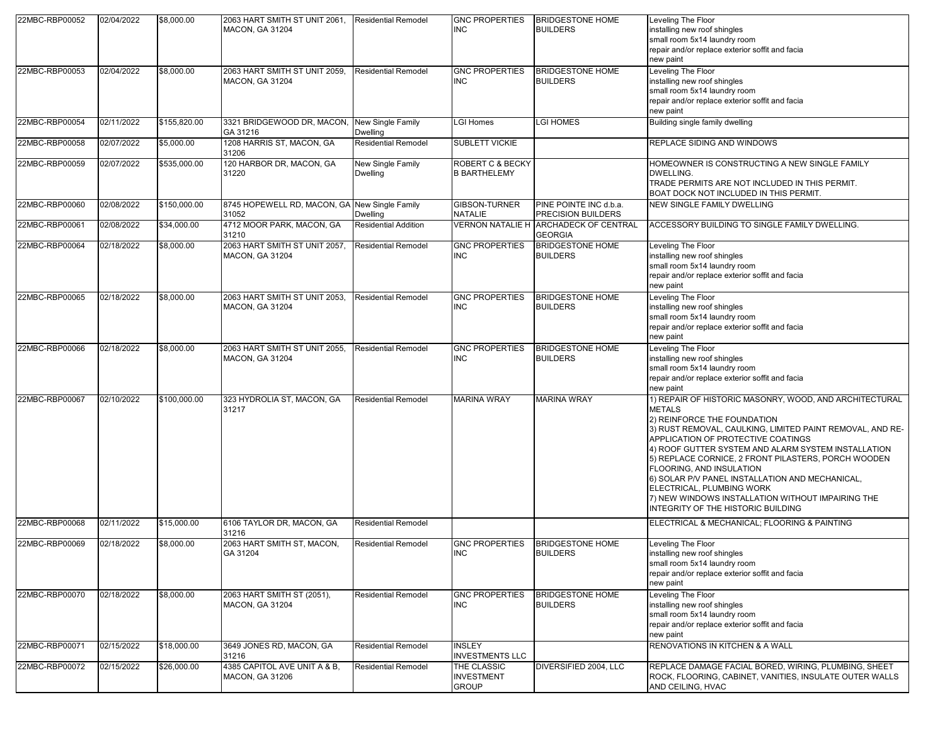| 22MBC-RBP00052 | 02/04/2022 | \$8,000.00   | 2063 HART SMITH ST UNIT 2061,<br><b>MACON, GA 31204</b> | Residential Remodel           | <b>GNC PROPERTIES</b><br><b>INC</b>                | <b>BRIDGESTONE HOME</b><br><b>BUILDERS</b>                     | Leveling The Floor<br>installing new roof shingles<br>small room 5x14 laundry room<br>repair and/or replace exterior soffit and facia<br>new paint                                                                                                                                                                                                                                                                                                                                                                             |
|----------------|------------|--------------|---------------------------------------------------------|-------------------------------|----------------------------------------------------|----------------------------------------------------------------|--------------------------------------------------------------------------------------------------------------------------------------------------------------------------------------------------------------------------------------------------------------------------------------------------------------------------------------------------------------------------------------------------------------------------------------------------------------------------------------------------------------------------------|
| 22MBC-RBP00053 | 02/04/2022 | \$8,000.00   | 2063 HART SMITH ST UNIT 2059,<br><b>MACON, GA 31204</b> | <b>Residential Remodel</b>    | <b>GNC PROPERTIES</b><br><b>INC</b>                | <b>BRIDGESTONE HOME</b><br><b>BUILDERS</b>                     | Leveling The Floor<br>installing new roof shingles<br>small room 5x14 laundry room<br>repair and/or replace exterior soffit and facia<br>new paint                                                                                                                                                                                                                                                                                                                                                                             |
| 22MBC-RBP00054 | 02/11/2022 | \$155,820.00 | 3321 BRIDGEWOOD DR, MACON,<br>GA 31216                  | New Single Family<br>Dwelling | <b>LGI Homes</b>                                   | LGI HOMES                                                      | Building single family dwelling                                                                                                                                                                                                                                                                                                                                                                                                                                                                                                |
| 22MBC-RBP00058 | 02/07/2022 | \$5,000.00   | 1208 HARRIS ST, MACON, GA<br>31206                      | Residential Remodel           | SUBLETT VICKIE                                     |                                                                | REPLACE SIDING AND WINDOWS                                                                                                                                                                                                                                                                                                                                                                                                                                                                                                     |
| 22MBC-RBP00059 | 02/07/2022 | \$535,000.00 | 120 HARBOR DR, MACON, GA<br>31220                       | New Single Family<br>Dwelling | <b>ROBERT C &amp; BECKY</b><br><b>B BARTHELEMY</b> |                                                                | HOMEOWNER IS CONSTRUCTING A NEW SINGLE FAMILY<br>DWELLING.<br>TRADE PERMITS ARE NOT INCLUDED IN THIS PERMIT.<br>BOAT DOCK NOT INCLUDED IN THIS PERMIT.                                                                                                                                                                                                                                                                                                                                                                         |
| 22MBC-RBP00060 | 02/08/2022 | \$150,000.00 | 8745 HOPEWELL RD, MACON, GA New Single Family<br>31052  | Dwelling                      | <b>GIBSON-TURNER</b><br><b>NATALIE</b>             | PINE POINTE INC d.b.a.<br>PRECISION BUILDERS                   | NEW SINGLE FAMILY DWELLING                                                                                                                                                                                                                                                                                                                                                                                                                                                                                                     |
| 22MBC-RBP00061 | 02/08/2022 | \$34,000.00  | 4712 MOOR PARK, MACON, GA<br>31210                      | <b>Residential Addition</b>   |                                                    | <b>VERNON NATALIE H ARCHADECK OF CENTRAL</b><br><b>GEORGIA</b> | ACCESSORY BUILDING TO SINGLE FAMILY DWELLING.                                                                                                                                                                                                                                                                                                                                                                                                                                                                                  |
| 22MBC-RBP00064 | 02/18/2022 | \$8,000.00   | 2063 HART SMITH ST UNIT 2057,<br><b>MACON, GA 31204</b> | <b>Residential Remodel</b>    | <b>GNC PROPERTIES</b><br><b>INC</b>                | <b>BRIDGESTONE HOME</b><br><b>BUILDERS</b>                     | Leveling The Floor<br>installing new roof shingles<br>small room 5x14 laundry room<br>repair and/or replace exterior soffit and facia<br>new paint                                                                                                                                                                                                                                                                                                                                                                             |
| 22MBC-RBP00065 | 02/18/2022 | \$8,000.00   | 2063 HART SMITH ST UNIT 2053,<br><b>MACON, GA 31204</b> | <b>Residential Remodel</b>    | <b>GNC PROPERTIES</b><br><b>INC</b>                | <b>BRIDGESTONE HOME</b><br><b>BUILDERS</b>                     | Leveling The Floor<br>installing new roof shingles<br>small room 5x14 laundry room<br>repair and/or replace exterior soffit and facia<br>new paint                                                                                                                                                                                                                                                                                                                                                                             |
| 22MBC-RBP00066 | 02/18/2022 | \$8,000.00   | 2063 HART SMITH ST UNIT 2055,<br><b>MACON, GA 31204</b> | <b>Residential Remodel</b>    | <b>GNC PROPERTIES</b><br><b>INC</b>                | <b>BRIDGESTONE HOME</b><br><b>BUILDERS</b>                     | Leveling The Floor<br>installing new roof shingles<br>small room 5x14 laundry room<br>repair and/or replace exterior soffit and facia<br>new paint                                                                                                                                                                                                                                                                                                                                                                             |
| 22MBC-RBP00067 | 02/10/2022 | \$100,000.00 | 323 HYDROLIA ST, MACON, GA<br>31217                     | <b>Residential Remodel</b>    | <b>MARINA WRAY</b>                                 | <b>MARINA WRAY</b>                                             | 1) REPAIR OF HISTORIC MASONRY, WOOD, AND ARCHITECTURAL<br><b>METALS</b><br>2) REINFORCE THE FOUNDATION<br>3) RUST REMOVAL, CAULKING, LIMITED PAINT REMOVAL, AND RE-<br>APPLICATION OF PROTECTIVE COATINGS<br>4) ROOF GUTTER SYSTEM AND ALARM SYSTEM INSTALLATION<br>5) REPLACE CORNICE, 2 FRONT PILASTERS, PORCH WOODEN<br>FLOORING, AND INSULATION<br>6) SOLAR P/V PANEL INSTALLATION AND MECHANICAL,<br>ELECTRICAL, PLUMBING WORK<br>7) NEW WINDOWS INSTALLATION WITHOUT IMPAIRING THE<br>INTEGRITY OF THE HISTORIC BUILDING |
| 22MBC-RBP00068 | 02/11/2022 | \$15,000.00  | 6106 TAYLOR DR, MACON, GA<br>31216                      | <b>Residential Remodel</b>    |                                                    |                                                                | ELECTRICAL & MECHANICAL; FLOORING & PAINTING                                                                                                                                                                                                                                                                                                                                                                                                                                                                                   |
| 22MBC-RBP00069 | 02/18/2022 | \$8,000.00   | 2063 HART SMITH ST, MACON,<br>GA 31204                  | <b>Residential Remodel</b>    | <b>GNC PROPERTIES</b><br><b>INC</b>                | <b>BRIDGESTONE HOME</b><br><b>BUILDERS</b>                     | Leveling The Floor<br>installing new roof shingles<br>small room 5x14 laundry room<br>repair and/or replace exterior soffit and facia<br>new paint                                                                                                                                                                                                                                                                                                                                                                             |
| 22MBC-RBP00070 | 02/18/2022 | \$8,000.00   | 2063 HART SMITH ST (2051),<br><b>MACON, GA 31204</b>    | <b>Residential Remodel</b>    | <b>GNC PROPERTIES</b><br><b>INC</b>                | <b>BRIDGESTONE HOME</b><br><b>BUILDERS</b>                     | Leveling The Floor<br>installing new roof shingles<br>small room 5x14 laundry room<br>repair and/or replace exterior soffit and facia<br>new paint                                                                                                                                                                                                                                                                                                                                                                             |
| 22MBC-RBP00071 | 02/15/2022 | \$18,000.00  | 3649 JONES RD, MACON, GA<br>31216                       | Residential Remodel           | <b>INSLEY</b><br><b>INVESTMENTS LLC</b>            |                                                                | RENOVATIONS IN KITCHEN & A WALL                                                                                                                                                                                                                                                                                                                                                                                                                                                                                                |
| 22MBC-RBP00072 | 02/15/2022 | \$26,000.00  | 4385 CAPITOL AVE UNIT A & B.<br><b>MACON, GA 31206</b>  | Residential Remodel           | THE CLASSIC<br><b>INVESTMENT</b><br><b>GROUP</b>   | DIVERSIFIED 2004, LLC                                          | REPLACE DAMAGE FACIAL BORED, WIRING, PLUMBING, SHEET<br>ROCK, FLOORING, CABINET, VANITIES, INSULATE OUTER WALLS<br>AND CEILING, HVAC                                                                                                                                                                                                                                                                                                                                                                                           |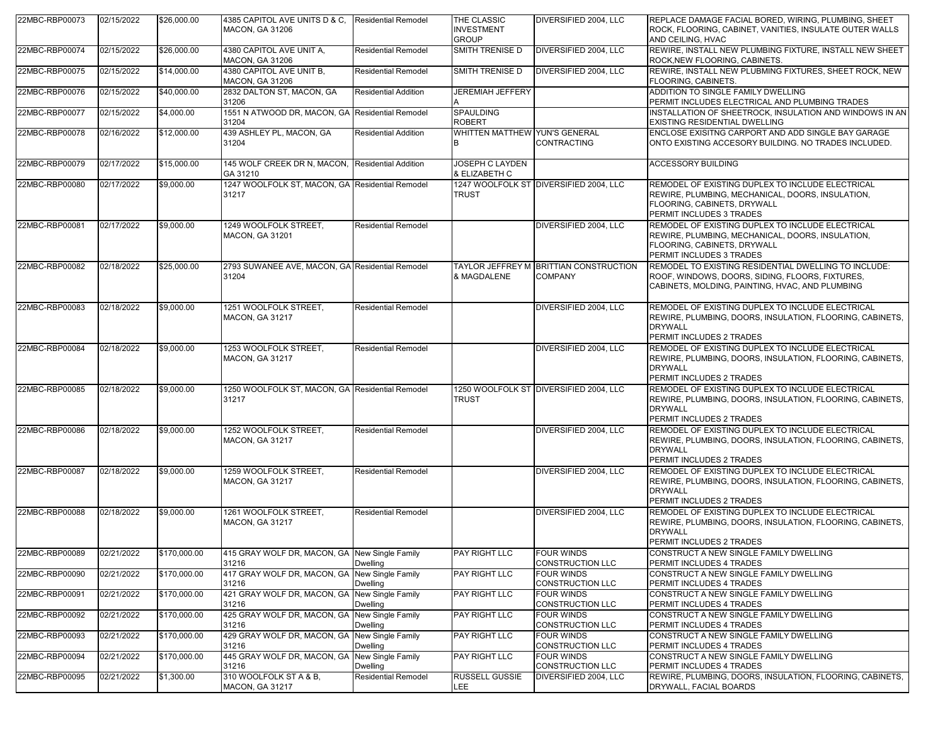| 22MBC-RBP00073 | 02/15/2022 | \$26,000.00  | 4385 CAPITOL AVE UNITS D & C.<br><b>MACON, GA 31206</b>  | <b>Residential Remodel</b>    | THE CLASSIC<br><b>INVESTMENT</b><br><b>GROUP</b> | DIVERSIFIED 2004, LLC                                    | REPLACE DAMAGE FACIAL BORED, WIRING, PLUMBING, SHEET<br>ROCK, FLOORING, CABINET, VANITIES, INSULATE OUTER WALLS<br>AND CEILING, HVAC                            |
|----------------|------------|--------------|----------------------------------------------------------|-------------------------------|--------------------------------------------------|----------------------------------------------------------|-----------------------------------------------------------------------------------------------------------------------------------------------------------------|
| 22MBC-RBP00074 | 02/15/2022 | \$26,000.00  | 4380 CAPITOL AVE UNIT A.<br><b>MACON, GA 31206</b>       | <b>Residential Remodel</b>    | SMITH TRENISE D                                  | DIVERSIFIED 2004, LLC                                    | REWIRE, INSTALL NEW PLUMBING FIXTURE, INSTALL NEW SHEET<br>ROCK, NEW FLOORING, CABINETS.                                                                        |
| 22MBC-RBP00075 | 02/15/2022 | \$14,000.00  | 4380 CAPITOL AVE UNIT B.<br><b>MACON, GA 31206</b>       | <b>Residential Remodel</b>    | SMITH TRENISE D                                  | DIVERSIFIED 2004, LLC                                    | REWIRE, INSTALL NEW PLUBMING FIXTURES, SHEET ROCK, NEW<br><b>FLOORING, CABINETS.</b>                                                                            |
| 22MBC-RBP00076 | 02/15/2022 | \$40,000.00  | 2832 DALTON ST, MACON, GA<br>31206                       | <b>Residential Addition</b>   | <b>JEREMIAH JEFFERY</b>                          |                                                          | ADDITION TO SINGLE FAMILY DWELLING<br>PERMIT INCLUDES ELECTRICAL AND PLUMBING TRADES                                                                            |
| 22MBC-RBP00077 | 02/15/2022 | \$4,000.00   | 1551 N ATWOOD DR, MACON, GA Residential Remodel<br>31204 |                               | <b>SPAULDING</b><br><b>ROBERT</b>                |                                                          | INSTALLATION OF SHEETROCK, INSULATION AND WINDOWS IN AN<br>EXISTING RESIDENTIAL DWELLING                                                                        |
| 22MBC-RBP00078 | 02/16/2022 | \$12,000.00  | 439 ASHLEY PL. MACON. GA<br>31204                        | <b>Residential Addition</b>   | WHITTEN MATTHEW YUN'S GENERAL<br>в               | CONTRACTING                                              | ENCLOSE EXISITNG CARPORT AND ADD SINGLE BAY GARAGE<br>ONTO EXISTING ACCESORY BUILDING. NO TRADES INCLUDED.                                                      |
| 22MBC-RBP00079 | 02/17/2022 | \$15,000.00  | 145 WOLF CREEK DR N, MACON,<br>GA 31210                  | <b>Residential Addition</b>   | JOSEPH C LAYDEN<br>& ELIZABETH C                 |                                                          | <b>ACCESSORY BUILDING</b>                                                                                                                                       |
| 22MBC-RBP00080 | 02/17/2022 | \$9,000.00   | 1247 WOOLFOLK ST, MACON, GA Residential Remodel<br>31217 |                               | <b>TRUST</b>                                     | 1247 WOOLFOLK ST DIVERSIFIED 2004, LLC                   | REMODEL OF EXISTING DUPLEX TO INCLUDE ELECTRICAL<br>REWIRE, PLUMBING, MECHANICAL, DOORS, INSULATION,<br>FLOORING, CABINETS, DRYWALL<br>PERMIT INCLUDES 3 TRADES |
| 22MBC-RBP00081 | 02/17/2022 | \$9,000.00   | 1249 WOOLFOLK STREET.<br><b>MACON, GA 31201</b>          | <b>Residential Remodel</b>    |                                                  | DIVERSIFIED 2004, LLC                                    | REMODEL OF EXISTING DUPLEX TO INCLUDE ELECTRICAL<br>REWIRE, PLUMBING, MECHANICAL, DOORS, INSULATION,<br>FLOORING, CABINETS, DRYWALL<br>PERMIT INCLUDES 3 TRADES |
| 22MBC-RBP00082 | 02/18/2022 | \$25,000.00  | 2793 SUWANEE AVE, MACON, GA Residential Remodel<br>31204 |                               | & MAGDALENE                                      | TAYLOR JEFFREY M BRITTIAN CONSTRUCTION<br><b>COMPANY</b> | REMODEL TO EXISTING RESIDENTIAL DWELLING TO INCLUDE:<br>ROOF, WINDOWS, DOORS, SIDING, FLOORS, FIXTURES,<br>CABINETS, MOLDING, PAINTING, HVAC, AND PLUMBING      |
| 22MBC-RBP00083 | 02/18/2022 | \$9,000.00   | 1251 WOOLFOLK STREET,<br><b>MACON, GA 31217</b>          | <b>Residential Remodel</b>    |                                                  | DIVERSIFIED 2004, LLC                                    | REMODEL OF EXISTING DUPLEX TO INCLUDE ELECTRICAL<br>REWIRE, PLUMBING, DOORS, INSULATION, FLOORING, CABINETS,<br><b>DRYWALL</b><br>PERMIT INCLUDES 2 TRADES      |
| 22MBC-RBP00084 | 02/18/2022 | \$9,000.00   | 1253 WOOLFOLK STREET,<br><b>MACON, GA 31217</b>          | <b>Residential Remodel</b>    |                                                  | DIVERSIFIED 2004, LLC                                    | REMODEL OF EXISTING DUPLEX TO INCLUDE ELECTRICAL<br>REWIRE, PLUMBING, DOORS, INSULATION, FLOORING, CABINETS,<br><b>DRYWALL</b><br>PERMIT INCLUDES 2 TRADES      |
| 22MBC-RBP00085 | 02/18/2022 | \$9,000.00   | 1250 WOOLFOLK ST, MACON, GA Residential Remodel<br>31217 |                               | <b>TRUST</b>                                     | 1250 WOOLFOLK ST DIVERSIFIED 2004, LLC                   | REMODEL OF EXISTING DUPLEX TO INCLUDE ELECTRICAL<br>REWIRE, PLUMBING, DOORS, INSULATION, FLOORING, CABINETS,<br><b>DRYWALL</b><br>PERMIT INCLUDES 2 TRADES      |
| 22MBC-RBP00086 | 02/18/2022 | \$9,000.00   | 1252 WOOLFOLK STREET,<br><b>MACON, GA 31217</b>          | <b>Residential Remodel</b>    |                                                  | DIVERSIFIED 2004, LLC                                    | REMODEL OF EXISTING DUPLEX TO INCLUDE ELECTRICAL<br>REWIRE, PLUMBING, DOORS, INSULATION, FLOORING, CABINETS,<br><b>DRYWALL</b><br>PERMIT INCLUDES 2 TRADES      |
| 22MBC-RBP00087 | 02/18/2022 | \$9,000.00   | 1259 WOOLFOLK STREET,<br><b>MACON, GA 31217</b>          | <b>Residential Remodel</b>    |                                                  | DIVERSIFIED 2004, LLC                                    | REMODEL OF EXISTING DUPLEX TO INCLUDE ELECTRICAL<br>REWIRE, PLUMBING, DOORS, INSULATION, FLOORING, CABINETS,<br><b>DRYWALL</b><br>PERMIT INCLUDES 2 TRADES      |
| 22MBC-RBP00088 | 02/18/2022 | \$9,000.00   | 1261 WOOLFOLK STREET,<br><b>MACON, GA 31217</b>          | <b>Residential Remodel</b>    |                                                  | DIVERSIFIED 2004, LLC                                    | REMODEL OF EXISTING DUPLEX TO INCLUDE ELECTRICAL<br>REWIRE, PLUMBING, DOORS, INSULATION, FLOORING, CABINETS,<br><b>DRYWALL</b><br>PERMIT INCLUDES 2 TRADES      |
| 22MBC-RBP00089 | 02/21/2022 | \$170,000.00 | 415 GRAY WOLF DR, MACON, GA   New Single Family<br>31216 | Dwelling                      | <b>PAY RIGHT LLC</b>                             | <b>FOUR WINDS</b><br><b>CONSTRUCTION LLC</b>             | CONSTRUCT A NEW SINGLE FAMILY DWELLING<br>PERMIT INCLUDES 4 TRADES                                                                                              |
| 22MBC-RBP00090 | 02/21/2022 | \$170,000.00 | 417 GRAY WOLF DR, MACON, GA<br>31216                     | New Single Family<br>Dwelling | PAY RIGHT LLC                                    | <b>FOUR WINDS</b><br><b>CONSTRUCTION LLC</b>             | CONSTRUCT A NEW SINGLE FAMILY DWELLING<br>PERMIT INCLUDES 4 TRADES                                                                                              |
| 22MBC-RBP00091 | 02/21/2022 | \$170,000.00 | 421 GRAY WOLF DR, MACON, GA<br>31216                     | New Single Family<br>Dwelling | PAY RIGHT LLC                                    | <b>FOUR WINDS</b><br>CONSTRUCTION LLC                    | CONSTRUCT A NEW SINGLE FAMILY DWELLING<br>PERMIT INCLUDES 4 TRADES                                                                                              |
| 22MBC-RBP00092 | 02/21/2022 | \$170,000.00 | 425 GRAY WOLF DR. MACON, GA<br>31216                     | New Single Family<br>Dwelling | PAY RIGHT LLC                                    | <b>FOUR WINDS</b><br><b>CONSTRUCTION LLC</b>             | CONSTRUCT A NEW SINGLE FAMILY DWELLING<br>PERMIT INCLUDES 4 TRADES                                                                                              |
| 22MBC-RBP00093 | 02/21/2022 | \$170,000.00 | 429 GRAY WOLF DR, MACON, GA<br>31216                     | New Single Family<br>Dwelling | PAY RIGHT LLC                                    | <b>FOUR WINDS</b><br><b>CONSTRUCTION LLC</b>             | CONSTRUCT A NEW SINGLE FAMILY DWELLING<br>PERMIT INCLUDES 4 TRADES                                                                                              |
| 22MBC-RBP00094 | 02/21/2022 | \$170,000.00 | 445 GRAY WOLF DR. MACON, GA<br>31216                     | New Single Family<br>Dwelling | PAY RIGHT LLC                                    | <b>FOUR WINDS</b><br>CONSTRUCTION LLC                    | CONSTRUCT A NEW SINGLE FAMILY DWELLING<br>PERMIT INCLUDES 4 TRADES                                                                                              |
| 22MBC-RBP00095 | 02/21/2022 | \$1,300.00   | 310 WOOLFOLK ST A & B,<br><b>MACON, GA 31217</b>         | <b>Residential Remodel</b>    | RUSSELL GUSSIE<br>LEE                            | DIVERSIFIED 2004, LLC                                    | REWIRE, PLUMBING, DOORS, INSULATION, FLOORING, CABINETS,<br>DRYWALL, FACIAL BOARDS                                                                              |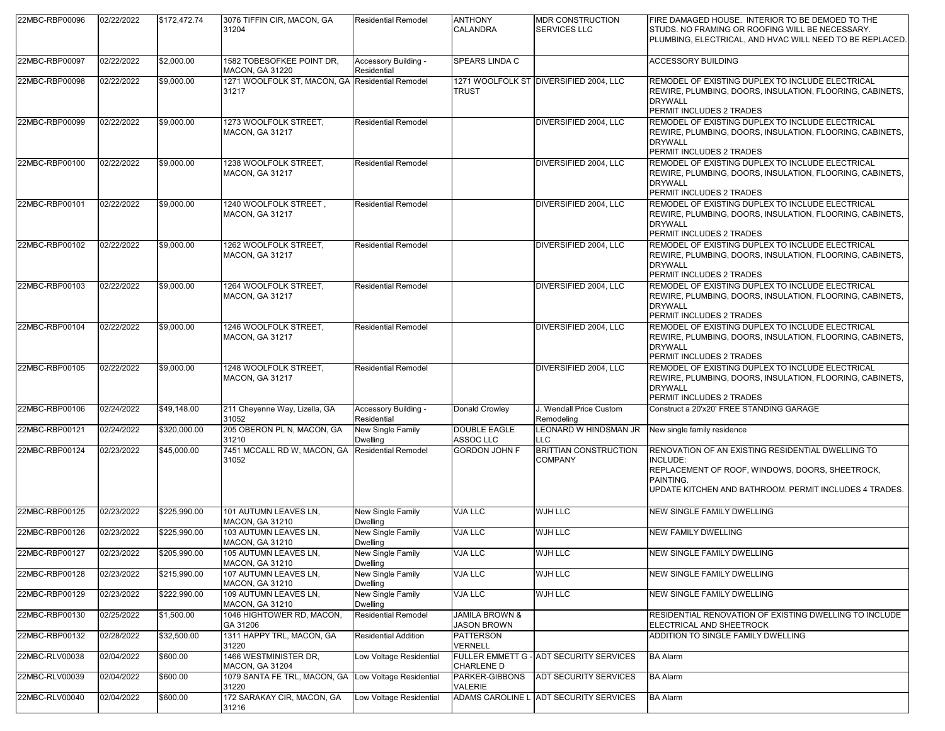| 22MBC-RBP00096 | 02/22/2022 | \$172,472.74 | 3076 TIFFIN CIR, MACON, GA<br>31204                           | <b>Residential Remodel</b>           | <b>ANTHONY</b><br>CALANDRA                      | <b>MDR CONSTRUCTION</b><br>SERVICES LLC | FIRE DAMAGED HOUSE. INTERIOR TO BE DEMOED TO THE<br>STUDS. NO FRAMING OR ROOFING WILL BE NECESSARY.<br>PLUMBING, ELECTRICAL, AND HVAC WILL NEED TO BE REPLACED.                         |
|----------------|------------|--------------|---------------------------------------------------------------|--------------------------------------|-------------------------------------------------|-----------------------------------------|-----------------------------------------------------------------------------------------------------------------------------------------------------------------------------------------|
| 22MBC-RBP00097 | 02/22/2022 | \$2,000.00   | 1582 TOBESOFKEE POINT DR,<br><b>MACON, GA 31220</b>           | Accessory Building -<br>Residential  | SPEARS LINDA C                                  |                                         | <b>ACCESSORY BUILDING</b>                                                                                                                                                               |
| 22MBC-RBP00098 | 02/22/2022 | \$9,000.00   | 1271 WOOLFOLK ST, MACON, GA Residential Remodel<br>31217      |                                      | TRUST                                           | 1271 WOOLFOLK ST DIVERSIFIED 2004. LLC  | REMODEL OF EXISTING DUPLEX TO INCLUDE ELECTRICAL<br>REWIRE, PLUMBING, DOORS, INSULATION, FLOORING, CABINETS,<br><b>DRYWALL</b><br>PERMIT INCLUDES 2 TRADES                              |
| 22MBC-RBP00099 | 02/22/2022 | \$9,000.00   | 1273 WOOLFOLK STREET,<br><b>MACON, GA 31217</b>               | <b>Residential Remodel</b>           |                                                 | DIVERSIFIED 2004, LLC                   | REMODEL OF EXISTING DUPLEX TO INCLUDE ELECTRICAL<br>REWIRE, PLUMBING, DOORS, INSULATION, FLOORING, CABINETS,<br><b>DRYWALL</b><br>PERMIT INCLUDES 2 TRADES                              |
| 22MBC-RBP00100 | 02/22/2022 | \$9,000.00   | 1238 WOOLFOLK STREET,<br>MACON, GA 31217                      | <b>Residential Remodel</b>           |                                                 | DIVERSIFIED 2004. LLC                   | REMODEL OF EXISTING DUPLEX TO INCLUDE ELECTRICAL<br>REWIRE, PLUMBING, DOORS, INSULATION, FLOORING, CABINETS,<br><b>DRYWALL</b><br>PERMIT INCLUDES 2 TRADES                              |
| 22MBC-RBP00101 | 02/22/2022 | \$9,000.00   | 1240 WOOLFOLK STREET,<br>MACON, GA 31217                      | <b>Residential Remodel</b>           |                                                 | DIVERSIFIED 2004, LLC                   | REMODEL OF EXISTING DUPLEX TO INCLUDE ELECTRICAL<br>REWIRE, PLUMBING, DOORS, INSULATION, FLOORING, CABINETS,<br><b>DRYWALL</b><br>PERMIT INCLUDES 2 TRADES                              |
| 22MBC-RBP00102 | 02/22/2022 | \$9,000.00   | 1262 WOOLFOLK STREET,<br>MACON, GA 31217                      | <b>Residential Remodel</b>           |                                                 | DIVERSIFIED 2004, LLC                   | REMODEL OF EXISTING DUPLEX TO INCLUDE ELECTRICAL<br>REWIRE, PLUMBING, DOORS, INSULATION, FLOORING, CABINETS,<br><b>DRYWALL</b><br>PERMIT INCLUDES 2 TRADES                              |
| 22MBC-RBP00103 | 02/22/2022 | \$9,000.00   | 1264 WOOLFOLK STREET,<br><b>MACON, GA 31217</b>               | <b>Residential Remodel</b>           |                                                 | DIVERSIFIED 2004, LLC                   | REMODEL OF EXISTING DUPLEX TO INCLUDE ELECTRICAL<br>REWIRE, PLUMBING, DOORS, INSULATION, FLOORING, CABINETS,<br><b>DRYWALL</b><br>PERMIT INCLUDES 2 TRADES                              |
| 22MBC-RBP00104 | 02/22/2022 | \$9,000.00   | 1246 WOOLFOLK STREET,<br><b>MACON, GA 31217</b>               | <b>Residential Remodel</b>           |                                                 | DIVERSIFIED 2004, LLC                   | REMODEL OF EXISTING DUPLEX TO INCLUDE ELECTRICAL<br>REWIRE, PLUMBING, DOORS, INSULATION, FLOORING, CABINETS,<br><b>DRYWALL</b><br>PERMIT INCLUDES 2 TRADES                              |
| 22MBC-RBP00105 | 02/22/2022 | \$9,000.00   | 1248 WOOLFOLK STREET,<br>MACON, GA 31217                      | <b>Residential Remodel</b>           |                                                 | DIVERSIFIED 2004, LLC                   | REMODEL OF EXISTING DUPLEX TO INCLUDE ELECTRICAL<br>REWIRE, PLUMBING, DOORS, INSULATION, FLOORING, CABINETS,<br><b>DRYWALL</b><br>PERMIT INCLUDES 2 TRADES                              |
| 22MBC-RBP00106 | 02/24/2022 | \$49,148.00  | 211 Cheyenne Way, Lizella, GA<br>31052                        | Accessory Building -<br>Residential  | Donald Crowley                                  | J. Wendall Price Custom<br>Remodeling   | Construct a 20'x20' FREE STANDING GARAGE                                                                                                                                                |
| 22MBC-RBP00121 | 02/24/2022 | \$320,000.00 | 205 OBERON PL N, MACON, GA<br>31210                           | New Single Family<br><b>Dwelling</b> | <b>DOUBLE EAGLE</b><br>ASSOC LLC                | EONARD W HINDSMAN JR<br>LLC             | New single family residence                                                                                                                                                             |
| 22MBC-RBP00124 | 02/23/2022 | \$45,000.00  | 7451 MCCALL RD W, MACON, GA<br>31052                          | <b>Residential Remodel</b>           | GORDON JOHN F                                   | <b>BRITTIAN CONSTRUCTION</b><br>COMPANY | RENOVATION OF AN EXISTING RESIDENTIAL DWELLING TO<br>INCLUDE:<br>REPLACEMENT OF ROOF, WINDOWS, DOORS, SHEETROCK,<br>PAINTING.<br>UPDATE KITCHEN AND BATHROOM. PERMIT INCLUDES 4 TRADES. |
| 22MBC-RBP00125 | 02/23/2022 | \$225,990.00 | 101 AUTUMN LEAVES LN.<br><b>MACON, GA 31210</b>               | New Single Family<br><b>Dwelling</b> | VJA LLC                                         | WJH LLC                                 | NEW SINGLE FAMILY DWELLING                                                                                                                                                              |
| 22MBC-RBP00126 | 02/23/2022 | \$225,990.00 | 103 AUTUMN LEAVES LN,<br><b>MACON, GA 31210</b>               | New Single Family<br><b>Dwelling</b> | VJA LLC                                         | WJH LLC                                 | <b>NEW FAMILY DWELLING</b>                                                                                                                                                              |
| 22MBC-RBP00127 | 02/23/2022 | \$205,990.00 | 105 AUTUMN LEAVES LN,<br>MACON, GA 31210                      | New Single Family<br><b>Dwelling</b> | VJA LLC                                         | WJH LLC                                 | NEW SINGLE FAMILY DWELLING                                                                                                                                                              |
| 22MBC-RBP00128 | 02/23/2022 | \$215,990.00 | 107 AUTUMN LEAVES LN,<br><b>MACON, GA 31210</b>               | New Single Family<br>Dwelling        | VJA LLC                                         | WJH LLC                                 | <b>NEW SINGLE FAMILY DWELLING</b>                                                                                                                                                       |
| 22MBC-RBP00129 | 02/23/2022 | \$222,990.00 | 109 AUTUMN LEAVES LN,<br><b>MACON, GA 31210</b>               | New Single Family<br><b>Dwelling</b> | VJA LLC                                         | WJH LLC                                 | NEW SINGLE FAMILY DWELLING                                                                                                                                                              |
| 22MBC-RBP00130 | 02/25/2022 | \$1,500.00   | 1046 HIGHTOWER RD, MACON,<br>GA 31206                         | <b>Residential Remodel</b>           | <b>JAMILA BROWN &amp;</b><br><b>JASON BROWN</b> |                                         | RESIDENTIAL RENOVATION OF EXISTING DWELLING TO INCLUDE<br>ELECTRICAL AND SHEETROCK                                                                                                      |
| 22MBC-RBP00132 | 02/28/2022 | \$32,500.00  | 1311 HAPPY TRL, MACON, GA<br>31220                            | <b>Residential Addition</b>          | PATTERSON<br>VERNELL                            |                                         | ADDITION TO SINGLE FAMILY DWELLING                                                                                                                                                      |
| 22MBC-RLV00038 | 02/04/2022 | \$600.00     | 1466 WESTMINISTER DR.<br>MACON, GA 31204                      | Low Voltage Residential              | CHARLENE D                                      | FULLER EMMETT G - ADT SECURITY SERVICES | <b>BA Alarm</b>                                                                                                                                                                         |
| 22MBC-RLV00039 | 02/04/2022 | \$600.00     | 1079 SANTA FE TRL, MACON, GA Low Voltage Residential<br>31220 |                                      | PARKER-GIBBONS<br>VALERIE                       | ADT SECURITY SERVICES                   | <b>BA Alarm</b>                                                                                                                                                                         |
| 22MBC-RLV00040 | 02/04/2022 | \$600.00     | 172 SARAKAY CIR, MACON, GA<br>31216                           | Low Voltage Residential              |                                                 | ADAMS CAROLINE L ADT SECURITY SERVICES  | <b>BA Alarm</b>                                                                                                                                                                         |